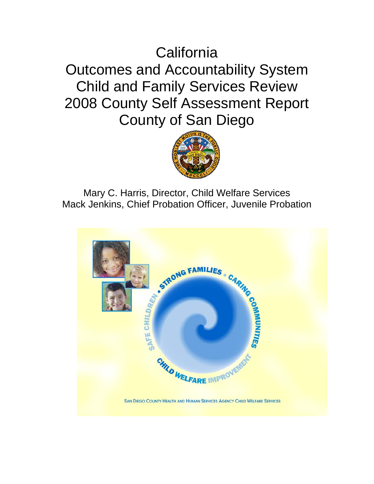# **California** Outcomes and Accountability System Child and Family Services Review 2008 County Self Assessment Report County of San Diego



Mary C. Harris, Director, Child Welfare Services Mack Jenkins, Chief Probation Officer, Juvenile Probation

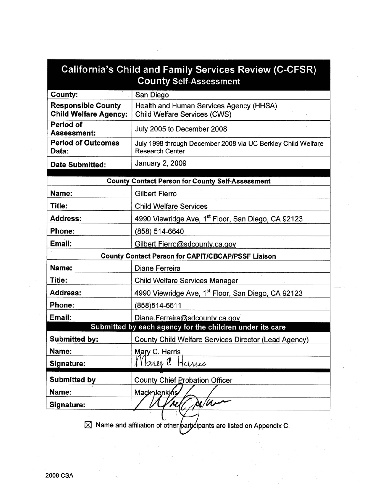| <b>California's Child and Family Services Review (C-CFSR)</b> |                                                                                        |  |  |
|---------------------------------------------------------------|----------------------------------------------------------------------------------------|--|--|
|                                                               | <b>County Self-Assessment</b>                                                          |  |  |
| County:                                                       | San Diego                                                                              |  |  |
| <b>Responsible County</b><br><b>Child Welfare Agency:</b>     | Health and Human Services Agency (HHSA)<br><b>Child Welfare Services (CWS)</b>         |  |  |
| Period of<br><b>Assessment:</b>                               | July 2005 to December 2008                                                             |  |  |
| <b>Period of Outcomes</b><br>Data:                            | July 1998 through December 2008 via UC Berkley Child Welfare<br><b>Research Center</b> |  |  |
| <b>Date Submitted:</b>                                        | <b>January 2, 2009</b>                                                                 |  |  |
|                                                               | <b>County Contact Person for County Self-Assessment</b>                                |  |  |
| Name:                                                         | <b>Gilbert Fierro</b>                                                                  |  |  |
| Title:                                                        | <b>Child Welfare Services</b>                                                          |  |  |
| <b>Address:</b>                                               | 4990 Viewridge Ave, 1 <sup>st</sup> Floor, San Diego, CA 92123                         |  |  |
| Phone:                                                        | (858) 514-6640                                                                         |  |  |
| Email:                                                        | Gilbert.Fierro@sdcounty.ca.gov                                                         |  |  |
|                                                               | <b>County Contact Person for CAPIT/CBCAP/PSSF Liaison</b>                              |  |  |
| Name:                                                         | Diane Ferreira                                                                         |  |  |
| Title:                                                        | Child Welfare Services Manager                                                         |  |  |
| <b>Address:</b>                                               | 4990 Viewridge Ave, 1 <sup>st</sup> Floor, San Diego, CA 92123                         |  |  |
| Phone:                                                        | (858)514-6611                                                                          |  |  |
| Email:                                                        | Diane.Ferreira@sdcounty.ca.gov                                                         |  |  |
|                                                               | Submitted by each agency for the children under its care                               |  |  |
| <b>Submitted by:</b>                                          | County Child Welfare Services Director (Lead Agency)                                   |  |  |
| Name:                                                         | Mary C. Harris                                                                         |  |  |
| Signature:                                                    | loner C<br>Harris                                                                      |  |  |
| <b>Submitted by</b>                                           | County Chief Probation Officer                                                         |  |  |
| Name:                                                         | Mackplenkins                                                                           |  |  |
| Signature:                                                    | $\alpha/\alpha$                                                                        |  |  |
|                                                               |                                                                                        |  |  |

 $\boxtimes$  Name and affiliation of other participants are listed on Appendix C.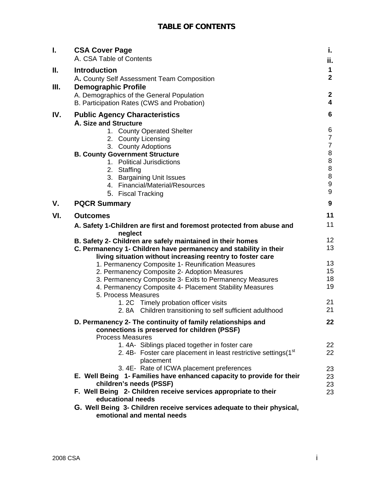| I.  | <b>CSA Cover Page</b><br>A. CSA Table of Contents                                                                                                                                                                                                    | i.<br>ii.                                                                                                  |
|-----|------------------------------------------------------------------------------------------------------------------------------------------------------------------------------------------------------------------------------------------------------|------------------------------------------------------------------------------------------------------------|
| П.  | <b>Introduction</b>                                                                                                                                                                                                                                  | 1                                                                                                          |
| Ш.  | A. County Self Assessment Team Composition<br><b>Demographic Profile</b><br>A. Demographics of the General Population<br>B. Participation Rates (CWS and Probation)                                                                                  | $\overline{2}$<br>$\boldsymbol{2}$<br>4                                                                    |
| IV. | <b>Public Agency Characteristics</b><br>A. Size and Structure                                                                                                                                                                                        | 6                                                                                                          |
|     | 1. County Operated Shelter<br>2. County Licensing<br>3. County Adoptions<br><b>B. County Government Structure</b><br>1. Political Jurisdictions<br>2. Staffing<br>3. Bargaining Unit Issues<br>4. Financial/Material/Resources<br>5. Fiscal Tracking | 6<br>$\overline{7}$<br>$\overline{7}$<br>$\bf 8$<br>$\,8\,$<br>$\bf 8$<br>$\bf 8$<br>$\boldsymbol{9}$<br>9 |
| ۷.  | <b>PQCR Summary</b>                                                                                                                                                                                                                                  | 9                                                                                                          |
| VI. | <b>Outcomes</b>                                                                                                                                                                                                                                      | 11                                                                                                         |
|     | A. Safety 1-Children are first and foremost protected from abuse and                                                                                                                                                                                 | 11                                                                                                         |
|     | neglect<br>B. Safety 2- Children are safely maintained in their homes<br>C. Permanency 1- Children have permanency and stability in their<br>living situation without increasing reentry to foster care                                              | 12<br>13                                                                                                   |
|     | 1. Permanency Composite 1- Reunification Measures<br>2. Permanency Composite 2- Adoption Measures<br>3. Permanency Composite 3- Exits to Permanency Measures<br>4. Permanency Composite 4- Placement Stability Measures                              | 13<br>15<br>18<br>19                                                                                       |
|     | 5. Process Measures<br>1. 2C Timely probation officer visits<br>2. 8A Children transitioning to self sufficient adulthood                                                                                                                            | 21<br>21                                                                                                   |
|     | D. Permanency 2- The continuity of family relationships and<br>connections is preserved for children (PSSF)<br><b>Process Measures</b>                                                                                                               | 22                                                                                                         |
|     | 1.4A- Siblings placed together in foster care<br>2. 4B- Foster care placement in least restrictive settings(1 <sup>st</sup><br>placement                                                                                                             | 22<br>22                                                                                                   |
|     | 3.4E- Rate of ICWA placement preferences                                                                                                                                                                                                             | 23                                                                                                         |
|     | E. Well Being 1- Families have enhanced capacity to provide for their<br>children's needs (PSSF)                                                                                                                                                     | 23<br>23                                                                                                   |
|     | F. Well Being 2- Children receive services appropriate to their<br>educational needs                                                                                                                                                                 | 23                                                                                                         |
|     | G. Well Being 3- Children receive services adequate to their physical,<br>emotional and mental needs                                                                                                                                                 |                                                                                                            |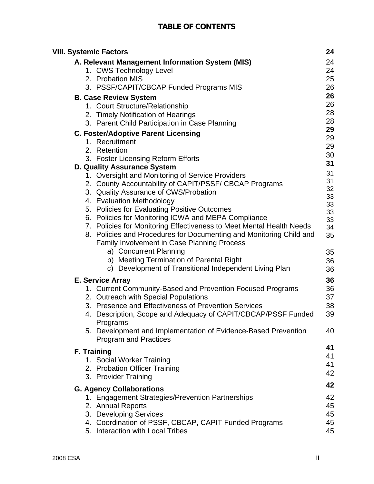# **TABLE OF CONTENTS**

|  | <b>VIII. Systemic Factors</b>                                                                                             | 24       |
|--|---------------------------------------------------------------------------------------------------------------------------|----------|
|  | A. Relevant Management Information System (MIS)                                                                           | 24       |
|  | 1. CWS Technology Level                                                                                                   | 24       |
|  | 2. Probation MIS                                                                                                          | 25       |
|  | 3. PSSF/CAPIT/CBCAP Funded Programs MIS                                                                                   | 26<br>26 |
|  | <b>B. Case Review System</b>                                                                                              | 26       |
|  | 1. Court Structure/Relationship<br>2. Timely Notification of Hearings                                                     | 28       |
|  | 3. Parent Child Participation in Case Planning                                                                            | 28       |
|  | <b>C. Foster/Adoptive Parent Licensing</b>                                                                                | 29       |
|  | 1. Recruitment                                                                                                            | 29       |
|  | 2. Retention                                                                                                              | 29<br>30 |
|  | 3. Foster Licensing Reform Efforts                                                                                        | 31       |
|  | <b>D. Quality Assurance System</b>                                                                                        | 31       |
|  | 1. Oversight and Monitoring of Service Providers<br>2. County Accountability of CAPIT/PSSF/ CBCAP Programs                | 31       |
|  | 3. Quality Assurance of CWS/Probation                                                                                     | 32       |
|  | 4. Evaluation Methodology                                                                                                 | 33<br>33 |
|  | 5. Policies for Evaluating Positive Outcomes                                                                              | 33       |
|  | 6. Policies for Monitoring ICWA and MEPA Compliance                                                                       | 33       |
|  | 7. Policies for Monitoring Effectiveness to Meet Mental Health Needs                                                      | 34       |
|  | 8. Policies and Procedures for Documenting and Monitoring Child and<br><b>Family Involvement in Case Planning Process</b> | 35       |
|  | a) Concurrent Planning                                                                                                    | 35       |
|  | b) Meeting Termination of Parental Right                                                                                  | 36       |
|  | c) Development of Transitional Independent Living Plan                                                                    | 36       |
|  | <b>E. Service Array</b>                                                                                                   | 36       |
|  | 1. Current Community-Based and Prevention Focused Programs                                                                | 36       |
|  | 2. Outreach with Special Populations                                                                                      | 37       |
|  | 3. Presence and Effectiveness of Prevention Services                                                                      | 38       |
|  | 4. Description, Scope and Adequacy of CAPIT/CBCAP/PSSF Funded                                                             | 39       |
|  | Programs<br>5. Development and Implementation of Evidence-Based Prevention                                                | 40       |
|  | <b>Program and Practices</b>                                                                                              |          |
|  | <b>F. Training</b>                                                                                                        | 41       |
|  | 1. Social Worker Training                                                                                                 | 41       |
|  | 2. Probation Officer Training                                                                                             | 41       |
|  | 3. Provider Training                                                                                                      | 42       |
|  | <b>G. Agency Collaborations</b>                                                                                           | 42       |
|  | 1. Engagement Strategies/Prevention Partnerships                                                                          | 42       |
|  | 2. Annual Reports                                                                                                         | 45       |
|  | 3. Developing Services                                                                                                    | 45       |
|  | 4. Coordination of PSSF, CBCAP, CAPIT Funded Programs<br>5. Interaction with Local Tribes                                 | 45<br>45 |
|  |                                                                                                                           |          |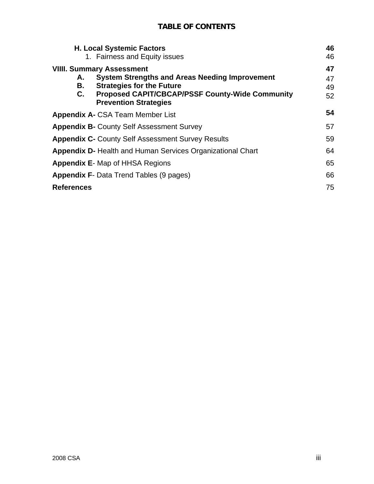# **TABLE OF CONTENTS**

| <b>H. Local Systemic Factors</b><br>1. Fairness and Equity issues                                                                                                                                                                         | 46<br>46             |
|-------------------------------------------------------------------------------------------------------------------------------------------------------------------------------------------------------------------------------------------|----------------------|
| <b>VIIII. Summary Assessment</b><br><b>System Strengths and Areas Needing Improvement</b><br>А.<br><b>Strategies for the Future</b><br>В.<br>C.<br><b>Proposed CAPIT/CBCAP/PSSF County-Wide Community</b><br><b>Prevention Strategies</b> | 47<br>47<br>49<br>52 |
| <b>Appendix A- CSA Team Member List</b>                                                                                                                                                                                                   | 54                   |
| <b>Appendix B- County Self Assessment Survey</b>                                                                                                                                                                                          | 57                   |
| <b>Appendix C- County Self Assessment Survey Results</b>                                                                                                                                                                                  | 59                   |
| <b>Appendix D- Health and Human Services Organizational Chart</b>                                                                                                                                                                         | 64                   |
| <b>Appendix E-</b> Map of HHSA Regions                                                                                                                                                                                                    | 65                   |
| <b>Appendix F- Data Trend Tables (9 pages)</b>                                                                                                                                                                                            | 66                   |
| <b>References</b>                                                                                                                                                                                                                         | 75                   |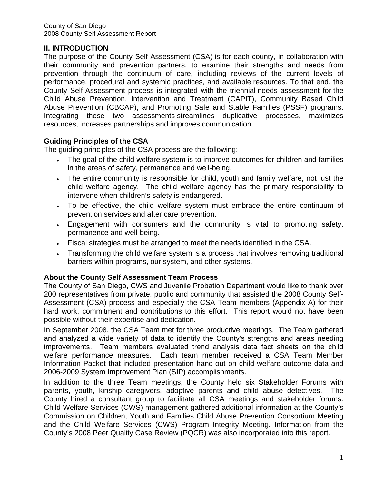County of San Diego 2008 County Self Assessment Report

# **II. INTRODUCTION**

The purpose of the County Self Assessment (CSA) is for each county, in collaboration with their community and prevention partners, to examine their strengths and needs from prevention through the continuum of care, including reviews of the current levels of performance, procedural and systemic practices, and available resources. To that end, the County Self-Assessment process is integrated with the triennial needs assessment for the Child Abuse Prevention, Intervention and Treatment (CAPIT), Community Based Child Abuse Prevention (CBCAP), and Promoting Safe and Stable Families (PSSF) programs. Integrating these two assessments streamlines duplicative processes, maximizes resources, increases partnerships and improves communication.

# **Guiding Principles of the CSA**

The guiding principles of the CSA process are the following:

- The goal of the child welfare system is to improve outcomes for children and families in the areas of safety, permanence and well-being.
- The entire community is responsible for child, youth and family welfare, not just the child welfare agency. The child welfare agency has the primary responsibility to intervene when children's safety is endangered.
- To be effective, the child welfare system must embrace the entire continuum of prevention services and after care prevention.
- Engagement with consumers and the community is vital to promoting safety, permanence and well-being.
- Fiscal strategies must be arranged to meet the needs identified in the CSA.
- Transforming the child welfare system is a process that involves removing traditional barriers within programs, our system, and other systems.

# **About the County Self Assessment Team Process**

The County of San Diego, CWS and Juvenile Probation Department would like to thank over 200 representatives from private, public and community that assisted the 2008 County Self-Assessment (CSA) process and especially the CSA Team members (Appendix A) for their hard work, commitment and contributions to this effort. This report would not have been possible without their expertise and dedication.

In September 2008, the CSA Team met for three productive meetings. The Team gathered and analyzed a wide variety of data to identify the County's strengths and areas needing improvements. Team members evaluated trend analysis data fact sheets on the child welfare performance measures. Each team member received a CSA Team Member Information Packet that included presentation hand-out on child welfare outcome data and 2006-2009 System Improvement Plan (SIP) accomplishments.

In addition to the three Team meetings, the County held six Stakeholder Forums with parents, youth, kinship caregivers, adoptive parents and child abuse detectives. The County hired a consultant group to facilitate all CSA meetings and stakeholder forums. Child Welfare Services (CWS) management gathered additional information at the County's Commission on Children, Youth and Families Child Abuse Prevention Consortium Meeting and the Child Welfare Services (CWS) Program Integrity Meeting. Information from the County's 2008 Peer Quality Case Review (PQCR) was also incorporated into this report.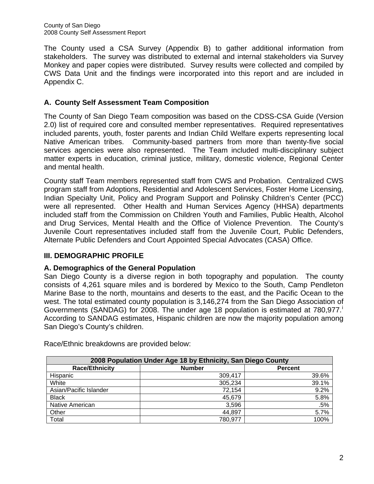The County used a CSA Survey (Appendix B) to gather additional information from stakeholders. The survey was distributed to external and internal stakeholders via Survey Monkey and paper copies were distributed. Survey results were collected and compiled by CWS Data Unit and the findings were incorporated into this report and are included in Appendix C.

# **A. County Self Assessment Team Composition**

The County of San Diego Team composition was based on the CDSS-CSA Guide (Version 2.0) list of required core and consulted member representatives. Required representatives included parents, youth, foster parents and Indian Child Welfare experts representing local Native American tribes. Community-based partners from more than twenty-five social services agencies were also represented. The Team included multi-disciplinary subject matter experts in education, criminal justice, military, domestic violence, Regional Center and mental health.

County staff Team members represented staff from CWS and Probation. Centralized CWS program staff from Adoptions, Residential and Adolescent Services, Foster Home Licensing, Indian Specialty Unit, Policy and Program Support and Polinsky Children's Center (PCC) were all represented. Other Health and Human Services Agency (HHSA) departments included staff from the Commission on Children Youth and Families, Public Health, Alcohol and Drug Services, Mental Health and the Office of Violence Prevention. The County's Juvenile Court representatives included staff from the Juvenile Court, Public Defenders, Alternate Public Defenders and Court Appointed Special Advocates (CASA) Office.

# **III. DEMOGRAPHIC PROFILE**

# **A. Demographics of the General Population**

San Diego County is a diverse region in both topography and population. The county consists of 4,261 square miles and is bordered by Mexico to the South, Camp Pendleton Marine Base to the north, mountains and deserts to the east, and the Pacific Ocean to the west. The total estimated county population is 3,146,274 from the San Diego Association of Governments (SANDAG) for 2008. The under age 18 populat[i](#page-79-0)on is estimated at  $780,977$ . According to SANDAG estimates, Hispanic children are now the majority population among San Diego's County's children.

| 2008 Population Under Age 18 by Ethnicity, San Diego County |               |                |  |
|-------------------------------------------------------------|---------------|----------------|--|
| <b>Race/Ethnicity</b>                                       | <b>Number</b> | <b>Percent</b> |  |
| Hispanic                                                    | 309,417       | 39.6%          |  |
| White                                                       | 305,234       | 39.1%          |  |
| Asian/Pacific Islander                                      | 72,154        | 9.2%           |  |
| <b>Black</b>                                                | 45,679        | 5.8%           |  |
| Native American                                             | 3,596         | .5%            |  |
| Other                                                       | 44,897        | 5.7%           |  |
| Total                                                       | 780,977       | 100%           |  |

Race/Ethnic breakdowns are provided below: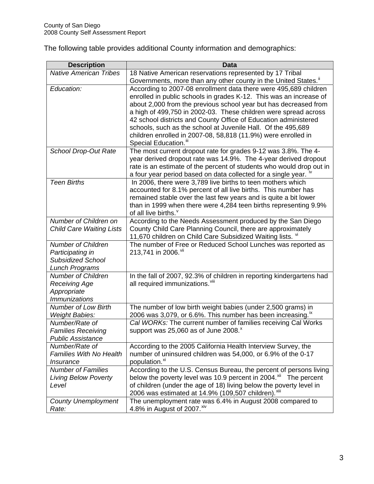The following table provides additional County information and demographics:

| <b>Description</b>              | <b>Data</b>                                                                                     |
|---------------------------------|-------------------------------------------------------------------------------------------------|
| <b>Native American Tribes</b>   | 18 Native American reservations represented by 17 Tribal                                        |
|                                 | Governments, more than any other county in the United States."                                  |
| Education:                      | According to 2007-08 enrollment data there were 495,689 children                                |
|                                 | enrolled in public schools in grades K-12. This was an increase of                              |
|                                 | about 2,000 from the previous school year but has decreased from                                |
|                                 | a high of 499,750 in 2002-03. These children were spread across                                 |
|                                 | 42 school districts and County Office of Education administered                                 |
|                                 | schools, such as the school at Juvenile Hall. Of the 495,689                                    |
|                                 | children enrolled in 2007-08, 58,818 (11.9%) were enrolled in                                   |
|                                 | Special Education. <sup>iii</sup>                                                               |
| <b>School Drop-Out Rate</b>     | The most current dropout rate for grades 9-12 was 3.8%. The 4-                                  |
|                                 | year derived dropout rate was 14.9%. The 4-year derived dropout                                 |
|                                 | rate is an estimate of the percent of students who would drop out in                            |
|                                 | a four year period based on data collected for a single year.                                   |
| <b>Teen Births</b>              | In 2006, there were 3,789 live births to teen mothers which                                     |
|                                 | accounted for 8.1% percent of all live births. This number has                                  |
|                                 | remained stable over the last few years and is quite a bit lower                                |
|                                 | than in 1999 when there were 4,284 teen births representing 9.9%                                |
| Number of Children on           | of all live births. <sup>v</sup><br>According to the Needs Assessment produced by the San Diego |
| <b>Child Care Waiting Lists</b> | County Child Care Planning Council, there are approximately                                     |
|                                 | 11,670 children on Child Care Subsidized Waiting lists. V                                       |
| <b>Number of Children</b>       | The number of Free or Reduced School Lunches was reported as                                    |
| Participating in                | 213,741 in 2006. Vil                                                                            |
| <b>Subsidized School</b>        |                                                                                                 |
| <b>Lunch Programs</b>           |                                                                                                 |
| <b>Number of Children</b>       | In the fall of 2007, 92.3% of children in reporting kindergartens had                           |
| <b>Receiving Age</b>            | all required immunizations. Vili                                                                |
| Appropriate                     |                                                                                                 |
| <i><b>Immunizations</b></i>     |                                                                                                 |
| <b>Number of Low Birth</b>      | The number of low birth weight babies (under 2,500 grams) in                                    |
| <b>Weight Babies:</b>           | 2006 was 3,079, or 6.6%. This number has been increasing. <sup>1x</sup>                         |
| Number/Rate of                  | Cal WORKs: The current number of families receiving Cal Works                                   |
| <b>Families Receiving</b>       | support was 25,060 as of June 2008. <sup>x</sup>                                                |
| <b>Public Assistance</b>        |                                                                                                 |
| Number/Rate of                  | According to the 2005 California Health Interview Survey, the                                   |
| <b>Families With No Health</b>  | number of uninsured children was 54,000, or 6.9% of the 0-17                                    |
| <i><b>Insurance</b></i>         | population. <sup>xi</sup>                                                                       |
| <b>Number of Families</b>       | According to the U.S. Census Bureau, the percent of persons living                              |
| <b>Living Below Poverty</b>     | below the poverty level was 10.9 percent in 2004. <sup>xii</sup> The percent                    |
| Level                           | of children (under the age of 18) living below the poverty level in                             |
|                                 | 2006 was estimated at 14.9% (109,507 children). Xili                                            |
| <b>County Unemployment</b>      | The unemployment rate was 6.4% in August 2008 compared to                                       |
| Rate:                           | 4.8% in August of 2007. Xiv                                                                     |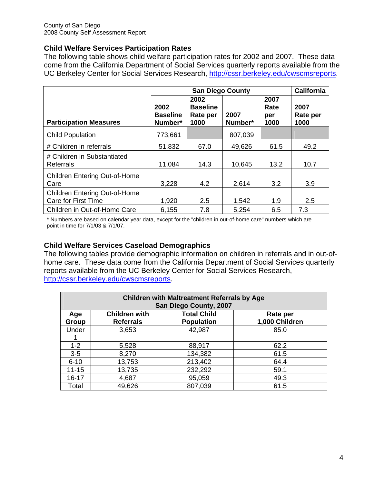# **Child Welfare Services Participation Rates**

The following table shows child welfare participation rates for 2002 and 2007. These data come from the California Department of Social Services quarterly reports available from the UC Berkeley Center for Social Services Research, <http://cssr.berkeley.edu/cwscmsreports>.

|                                                             | <b>San Diego County</b>            |                                             |                 | <b>California</b>           |                          |
|-------------------------------------------------------------|------------------------------------|---------------------------------------------|-----------------|-----------------------------|--------------------------|
| <b>Participation Measures</b>                               | 2002<br><b>Baseline</b><br>Number* | 2002<br><b>Baseline</b><br>Rate per<br>1000 | 2007<br>Number* | 2007<br>Rate<br>per<br>1000 | 2007<br>Rate per<br>1000 |
| <b>Child Population</b>                                     | 773,661                            |                                             | 807,039         |                             |                          |
| # Children in referrals                                     | 51,832                             | 67.0                                        | 49,626          | 61.5                        | 49.2                     |
| # Children in Substantiated<br>Referrals                    | 11,084                             | 14.3                                        | 10,645          | 13.2                        | 10.7                     |
| Children Entering Out-of-Home<br>Care                       | 3,228                              | 4.2                                         | 2,614           | 3.2                         | 3.9                      |
| <b>Children Entering Out-of-Home</b><br>Care for First Time | 1,920                              | 2.5                                         | 1,542           | 1.9                         | 2.5                      |
| Children in Out-of-Home Care                                | 6,155                              | 7.8                                         | 5,254           | 6.5                         | 7.3                      |

\* Numbers are based on calendar year data, except for the "children in out-of-home care" numbers which are point in time for 7/1/03 & 7/1/07.

# **Child Welfare Services Caseload Demographics**

The following tables provide demographic information on children in referrals and in out-ofhome care. These data come from the California Department of Social Services quarterly reports available from the UC Berkeley Center for Social Services Research, <http://cssr.berkeley.edu/cwscmsreports>.

| <b>Children with Maltreatment Referrals by Age</b><br>San Diego County, 2007 |                                          |                                         |                            |
|------------------------------------------------------------------------------|------------------------------------------|-----------------------------------------|----------------------------|
| Age<br>Group                                                                 | <b>Children with</b><br><b>Referrals</b> | <b>Total Child</b><br><b>Population</b> | Rate per<br>1,000 Children |
| Under                                                                        | 3,653                                    | 42,987                                  | 85.0                       |
| $1 - 2$                                                                      | 5,528                                    | 88,917                                  | 62.2                       |
| $3-5$                                                                        | 8,270                                    | 134,382                                 | 61.5                       |
| $6 - 10$                                                                     | 13,753                                   | 213,402                                 | 64.4                       |
| $11 - 15$                                                                    | 13,735                                   | 232,292                                 | 59.1                       |
| 16-17                                                                        | 4,687                                    | 95,059                                  | 49.3                       |
| Total                                                                        | 49,626                                   | 807,039                                 | 61.5                       |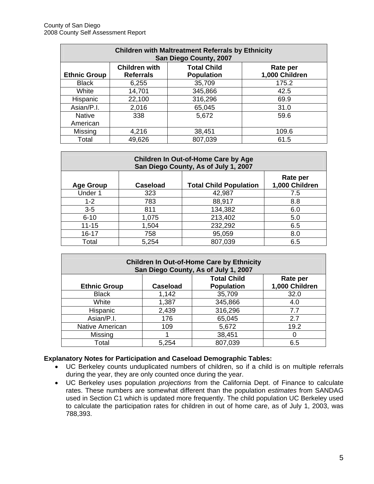| <b>Children with Maltreatment Referrals by Ethnicity</b><br>San Diego County, 2007 |                                          |                                         |                            |  |
|------------------------------------------------------------------------------------|------------------------------------------|-----------------------------------------|----------------------------|--|
| <b>Ethnic Group</b>                                                                | <b>Children with</b><br><b>Referrals</b> | <b>Total Child</b><br><b>Population</b> | Rate per<br>1,000 Children |  |
| <b>Black</b>                                                                       | 6,255                                    | 35,709                                  | 175.2                      |  |
| White                                                                              | 14,701                                   | 345,866                                 | 42.5                       |  |
| Hispanic                                                                           | 22,100                                   | 316,296                                 | 69.9                       |  |
| Asian/P.I.                                                                         | 2,016                                    | 65,045                                  | 31.0                       |  |
| <b>Native</b>                                                                      | 338                                      | 5,672                                   | 59.6                       |  |
| American                                                                           |                                          |                                         |                            |  |
| Missing                                                                            | 4,216                                    | 38,451                                  | 109.6                      |  |
| Total                                                                              | 49,626                                   | 807,039                                 | 61.5                       |  |

| <b>Children In Out-of-Home Care by Age</b><br>San Diego County, As of July 1, 2007 |                 |                               |                            |  |
|------------------------------------------------------------------------------------|-----------------|-------------------------------|----------------------------|--|
| <b>Age Group</b>                                                                   | <b>Caseload</b> | <b>Total Child Population</b> | Rate per<br>1,000 Children |  |
| Under 1                                                                            | 323             | 42,987                        | 7.5                        |  |
| $1 - 2$                                                                            | 783             | 88,917                        | 8.8                        |  |
| $3 - 5$                                                                            | 811             | 134,382                       | 6.0                        |  |
| $6 - 10$                                                                           | 1,075           | 213,402                       | 5.0                        |  |
| $11 - 15$                                                                          | 1,504           | 232,292                       | 6.5                        |  |
| $16 - 17$                                                                          | 758             | 95,059                        | 8.0                        |  |
| Total                                                                              | 5,254           | 807,039                       | 6.5                        |  |

| <b>Children In Out-of-Home Care by Ethnicity</b><br>San Diego County, As of July 1, 2007 |                 |                                         |                            |  |
|------------------------------------------------------------------------------------------|-----------------|-----------------------------------------|----------------------------|--|
| <b>Ethnic Group</b>                                                                      | <b>Caseload</b> | <b>Total Child</b><br><b>Population</b> | Rate per<br>1,000 Children |  |
| <b>Black</b>                                                                             | 1,142           | 35,709                                  | 32.0                       |  |
| White                                                                                    | 1,387           | 345,866                                 | 4.0                        |  |
| Hispanic                                                                                 | 2,439           | 316,296                                 | 7.7                        |  |
| Asian/P.I.                                                                               | 176             | 65,045                                  | 2.7                        |  |
| Native American                                                                          | 109             | 5,672                                   | 19.2                       |  |
| Missing                                                                                  |                 | 38,451                                  | 0                          |  |
| Total                                                                                    | 5,254           | 807,039                                 | 6.5                        |  |

#### **Explanatory Notes for Participation and Caseload Demographic Tables:**

- UC Berkeley counts unduplicated numbers of children, so if a child is on multiple referrals during the year, they are only counted once during the year.
- UC Berkeley uses population *projections* from the California Dept. of Finance to calculate rates. These numbers are somewhat different than the population *estimates* from SANDAG used in Section C1 which is updated more frequently. The child population UC Berkeley used to calculate the participation rates for children in out of home care, as of July 1, 2003, was 788,393.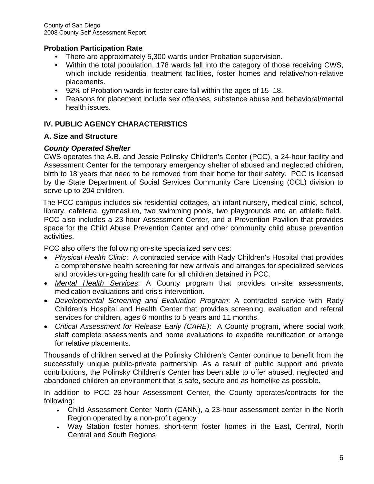# **Probation Participation Rate**

- There are approximately 5,300 wards under Probation supervision.
- Within the total population, 178 wards fall into the category of those receiving CWS, which include residential treatment facilities, foster homes and relative/non-relative placements.
- 92% of Probation wards in foster care fall within the ages of 15–18.
- Reasons for placement include sex offenses, substance abuse and behavioral/mental health issues.

# **IV. PUBLIC AGENCY CHARACTERISTICS**

# **A. Size and Structure**

# *County Operated Shelter*

CWS operates the A.B. and Jessie Polinsky Children's Center (PCC), a 24-hour facility and Assessment Center for the temporary emergency shelter of abused and neglected children, birth to 18 years that need to be removed from their home for their safety. PCC is licensed by the State Department of Social Services Community Care Licensing (CCL) division to serve up to 204 children.

 The PCC campus includes six residential cottages, an infant nursery, medical clinic, school, library, cafeteria, gymnasium, two swimming pools, two playgrounds and an athletic field. PCC also includes a 23-hour Assessment Center, and a Prevention Pavilion that provides space for the Child Abuse Prevention Center and other community child abuse prevention activities.

PCC also offers the following on-site specialized services:

- *Physical Health Clinic*: A contracted service with Rady Children's Hospital that provides a comprehensive health screening for new arrivals and arranges for specialized services and provides on-going health care for all children detained in PCC.
- *Mental Health Services*: A County program that provides on-site assessments, medication evaluations and crisis intervention.
- *Developmental Screening and Evaluation Program*: A contracted service with Rady Children's Hospital and Health Center that provides screening, evaluation and referral services for children, ages 6 months to 5 years and 11 months.
- *Critical Assessment for Release Early (CARE)*: A County program, where social work staff complete assessments and home evaluations to expedite reunification or arrange for relative placements.

Thousands of children served at the Polinsky Children's Center continue to benefit from the successfully unique public-private partnership. As a result of public support and private contributions, the Polinsky Children's Center has been able to offer abused, neglected and abandoned children an environment that is safe, secure and as homelike as possible.

In addition to PCC 23-hour Assessment Center, the County operates/contracts for the following:

- Child Assessment Center North (CANN), a 23-hour assessment center in the North Region operated by a non-profit agency
- Way Station foster homes, short-term foster homes in the East, Central, North Central and South Regions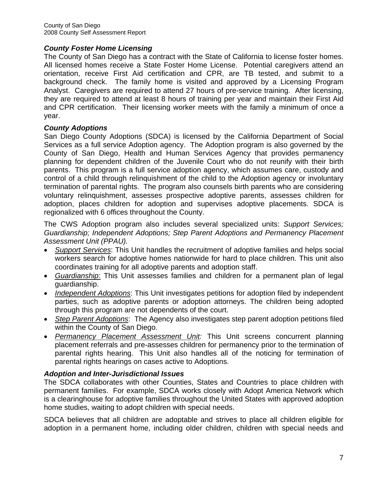# *County Foster Home Licensing*

The County of San Diego has a contract with the State of California to license foster homes. All licensed homes receive a State Foster Home License. Potential caregivers attend an orientation, receive First Aid certification and CPR, are TB tested, and submit to a background check. The family home is visited and approved by a Licensing Program Analyst. Caregivers are required to attend 27 hours of pre-service training. After licensing, they are required to attend at least 8 hours of training per year and maintain their First Aid and CPR certification. Their licensing worker meets with the family a minimum of once a year.

# *County Adoptions*

San Diego County Adoptions (SDCA) is licensed by the California Department of Social Services as a full service Adoption agency. The Adoption program is also governed by the County of San Diego, Health and Human Services Agency that provides permanency planning for dependent children of the Juvenile Court who do not reunify with their birth parents. This program is a full service adoption agency, which assumes care, custody and control of a child through relinquishment of the child to the Adoption agency or involuntary termination of parental rights. The program also counsels birth parents who are considering voluntary relinquishment, assesses prospective adoptive parents, assesses children for adoption, places children for adoption and supervises adoptive placements. SDCA is regionalized with 6 offices throughout the County.

The CWS Adoption program also includes several specialized units: *Support Services; Guardianship; Independent Adoptions; Step Parent Adoptions and Permanency Placement Assessment Unit (PPAU).* 

- *Support Services*: This Unit handles the recruitment of adoptive families and helps social workers search for adoptive homes nationwide for hard to place children. This unit also coordinates training for all adoptive parents and adoption staff.
- *Guardianship*: This Unit assesses families and children for a permanent plan of legal guardianship.
- *Independent Adoptions*: This Unit investigates petitions for adoption filed by independent parties, such as adoptive parents or adoption attorneys. The children being adopted through this program are not dependents of the court.
- *Step Parent Adoptions*: The Agency also investigates step parent adoption petitions filed within the County of San Diego.
- **Permanency Placement Assessment Unit:** This Unit screens concurrent planning placement referrals and pre-assesses children for permanency prior to the termination of parental rights hearing. This Unit also handles all of the noticing for termination of parental rights hearings on cases active to Adoptions.

# *Adoption and Inter-Jurisdictional Issues*

The SDCA collaborates with other Counties, States and Countries to place children with permanent families. For example, SDCA works closely with Adopt America Network which is a clearinghouse for adoptive families throughout the United States with approved adoption home studies, waiting to adopt children with special needs.

SDCA believes that all children are adoptable and strives to place all children eligible for adoption in a permanent home, including older children, children with special needs and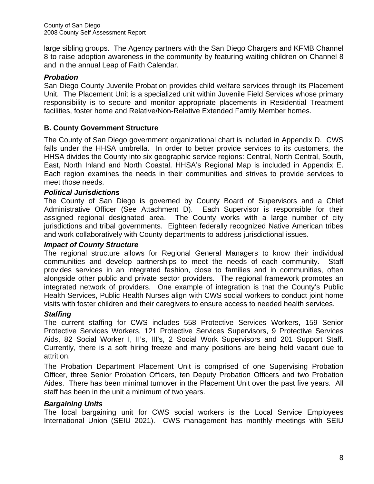large sibling groups. The Agency partners with the San Diego Chargers and KFMB Channel 8 to raise adoption awareness in the community by featuring waiting children on Channel 8 and in the annual Leap of Faith Calendar.

# *Probation*

San Diego County Juvenile Probation provides child welfare services through its Placement Unit. The Placement Unit is a specialized unit within Juvenile Field Services whose primary responsibility is to secure and monitor appropriate placements in Residential Treatment facilities, foster home and Relative/Non-Relative Extended Family Member homes.

# **B. County Government Structure**

The County of San Diego government organizational chart is included in Appendix D. CWS falls under the HHSA umbrella. In order to better provide services to its customers, the HHSA divides the County into six geographic service regions: Central, North Central, South, East, North Inland and North Coastal. HHSA's Regional Map is included in Appendix E. Each region examines the needs in their communities and strives to provide services to meet those needs.

# *Political Jurisdictions*

The County of San Diego is governed by County Board of Supervisors and a Chief Administrative Officer (See Attachment D). Each Supervisor is responsible for their assigned regional designated area. The County works with a large number of city jurisdictions and tribal governments. Eighteen federally recognized Native American tribes and work collaboratively with County departments to address jurisdictional issues.

# *Impact of County Structure*

The regional structure allows for Regional General Managers to know their individual communities and develop partnerships to meet the needs of each community. Staff provides services in an integrated fashion, close to families and in communities, often alongside other public and private sector providers. The regional framework promotes an integrated network of providers. One example of integration is that the County's Public Health Services, Public Health Nurses align with CWS social workers to conduct joint home visits with foster children and their caregivers to ensure access to needed health services.

# *Staffing*

The current staffing for CWS includes 558 Protective Services Workers, 159 Senior Protective Services Workers, 121 Protective Services Supervisors, 9 Protective Services Aids, 82 Social Worker I, II's, III's, 2 Social Work Supervisors and 201 Support Staff. Currently, there is a soft hiring freeze and many positions are being held vacant due to attrition.

The Probation Department Placement Unit is comprised of one Supervising Probation Officer, three Senior Probation Officers, ten Deputy Probation Officers and two Probation Aides. There has been minimal turnover in the Placement Unit over the past five years. All staff has been in the unit a minimum of two years.

# *Bargaining Units*

The local bargaining unit for CWS social workers is the Local Service Employees International Union (SEIU 2021). CWS management has monthly meetings with SEIU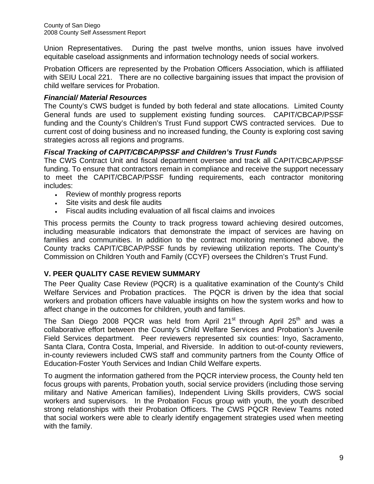Union Representatives. During the past twelve months, union issues have involved equitable caseload assignments and information technology needs of social workers.

Probation Officers are represented by the Probation Officers Association, which is affiliated with SEIU Local 221. There are no collective bargaining issues that impact the provision of child welfare services for Probation.

# *Financial/ Material Resources*

The County's CWS budget is funded by both federal and state allocations. Limited County General funds are used to supplement existing funding sources. CAPIT/CBCAP/PSSF funding and the County's Children's Trust Fund support CWS contracted services. Due to current cost of doing business and no increased funding, the County is exploring cost saving strategies across all regions and programs.

# *Fiscal Tracking of CAPIT/CBCAP/PSSF and Children's Trust Funds*

The CWS Contract Unit and fiscal department oversee and track all CAPIT/CBCAP/PSSF funding. To ensure that contractors remain in compliance and receive the support necessary to meet the CAPIT/CBCAP/PSSF funding requirements, each contractor monitoring includes:

- Review of monthly progress reports
- Site visits and desk file audits
- Fiscal audits including evaluation of all fiscal claims and invoices

This process permits the County to track progress toward achieving desired outcomes, including measurable indicators that demonstrate the impact of services are having on families and communities. In addition to the contract monitoring mentioned above, the County tracks CAPIT/CBCAP/PSSF funds by reviewing utilization reports. The County's Commission on Children Youth and Family (CCYF) oversees the Children's Trust Fund.

# **V. PEER QUALITY CASE REVIEW SUMMARY**

The Peer Quality Case Review (PQCR) is a qualitative examination of the County's Child Welfare Services and Probation practices. The PQCR is driven by the idea that social workers and probation officers have valuable insights on how the system works and how to affect change in the outcomes for children, youth and families.

The San Diego 2008 PQCR was held from April 21<sup>st</sup> through April 25<sup>th</sup> and was a collaborative effort between the County's Child Welfare Services and Probation's Juvenile Field Services department. Peer reviewers represented six counties: Inyo, Sacramento, Santa Clara, Contra Costa, Imperial, and Riverside. In addition to out-of-county reviewers, in-county reviewers included CWS staff and community partners from the County Office of Education-Foster Youth Services and Indian Child Welfare experts.

To augment the information gathered from the PQCR interview process, the County held ten focus groups with parents, Probation youth, social service providers (including those serving military and Native American families), Independent Living Skills providers, CWS social workers and supervisors. In the Probation Focus group with youth, the youth described strong relationships with their Probation Officers. The CWS PQCR Review Teams noted that social workers were able to clearly identify engagement strategies used when meeting with the family.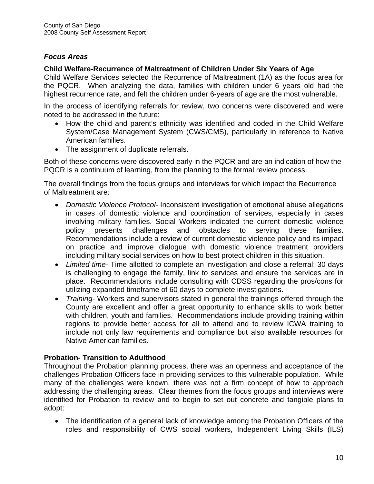# *Focus Areas*

# **Child Welfare-Recurrence of Maltreatment of Children Under Six Years of Age**

Child Welfare Services selected the Recurrence of Maltreatment (1A) as the focus area for the PQCR. When analyzing the data, families with children under 6 years old had the highest recurrence rate, and felt the children under 6-years of age are the most vulnerable.

In the process of identifying referrals for review, two concerns were discovered and were noted to be addressed in the future:

- How the child and parent's ethnicity was identified and coded in the Child Welfare System/Case Management System (CWS/CMS), particularly in reference to Native American families.
- The assignment of duplicate referrals.

Both of these concerns were discovered early in the PQCR and are an indication of how the PQCR is a continuum of learning, from the planning to the formal review process.

The overall findings from the focus groups and interviews for which impact the Recurrence of Maltreatment are:

- *Domestic Violence Protocol-* Inconsistent investigation of emotional abuse allegations in cases of domestic violence and coordination of services, especially in cases involving military families. Social Workers indicated the current domestic violence policy presents challenges and obstacles to serving these families. Recommendations include a review of current domestic violence policy and its impact on practice and improve dialogue with domestic violence treatment providers including military social services on how to best protect children in this situation.
- *Limited time-* Time allotted to complete an investigation and close a referral: 30 days is challenging to engage the family, link to services and ensure the services are in place. Recommendations include consulting with CDSS regarding the pros/cons for utilizing expanded timeframe of 60 days to complete investigations.
- *Training-* Workers and supervisors stated in general the trainings offered through the County are excellent and offer a great opportunity to enhance skills to work better with children, youth and families. Recommendations include providing training within regions to provide better access for all to attend and to review ICWA training to include not only law requirements and compliance but also available resources for Native American families.

# **Probation- Transition to Adulthood**

Throughout the Probation planning process, there was an openness and acceptance of the challenges Probation Officers face in providing services to this vulnerable population. While many of the challenges were known, there was not a firm concept of how to approach addressing the challenging areas. Clear themes from the focus groups and interviews were identified for Probation to review and to begin to set out concrete and tangible plans to adopt:

• The identification of a general lack of knowledge among the Probation Officers of the roles and responsibility of CWS social workers, Independent Living Skills (ILS)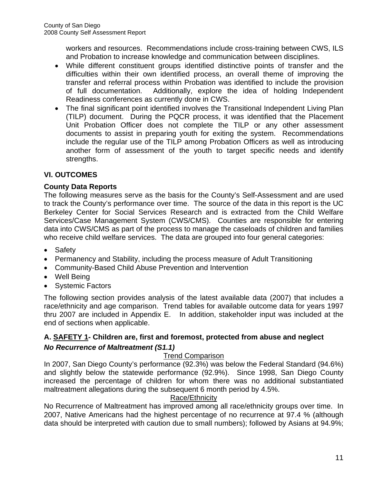workers and resources. Recommendations include cross-training between CWS, ILS and Probation to increase knowledge and communication between disciplines.

- While different constituent groups identified distinctive points of transfer and the difficulties within their own identified process, an overall theme of improving the transfer and referral process within Probation was identified to include the provision of full documentation. Additionally, explore the idea of holding Independent Readiness conferences as currently done in CWS.
- The final significant point identified involves the Transitional Independent Living Plan (TILP) document. During the PQCR process, it was identified that the Placement Unit Probation Officer does not complete the TILP or any other assessment documents to assist in preparing youth for exiting the system. Recommendations include the regular use of the TILP among Probation Officers as well as introducing another form of assessment of the youth to target specific needs and identify strengths.

# **VI. OUTCOMES**

# **County Data Reports**

The following measures serve as the basis for the County's Self-Assessment and are used to track the County's performance over time. The source of the data in this report is the UC Berkeley Center for Social Services Research and is extracted from the Child Welfare Services/Case Management System (CWS/CMS). Counties are responsible for entering data into CWS/CMS as part of the process to manage the caseloads of children and families who receive child welfare services. The data are grouped into four general categories:

- Safety
- Permanency and Stability, including the process measure of Adult Transitioning
- Community-Based Child Abuse Prevention and Intervention
- Well Being
- Systemic Factors

The following section provides analysis of the latest available data (2007) that includes a race/ethnicity and age comparison. Trend tables for available outcome data for years 1997 thru 2007 are included in Appendix E. In addition, stakeholder input was included at the end of sections when applicable.

# **A. SAFETY 1- Children are, first and foremost, protected from abuse and neglect**  *No Recurrence of Maltreatment (S1.1)*

# Trend Comparison

In 2007, San Diego County's performance (92.3%) was below the Federal Standard (94.6%) and slightly below the statewide performance (92.9%). Since 1998, San Diego County increased the percentage of children for whom there was no additional substantiated maltreatment allegations during the subsequent 6 month period by 4.5%.

# Race/Ethnicity

No Recurrence of Maltreatment has improved among all race/ethnicity groups over time. In 2007, Native Americans had the highest percentage of no recurrence at 97.4 % (although data should be interpreted with caution due to small numbers); followed by Asians at 94.9%;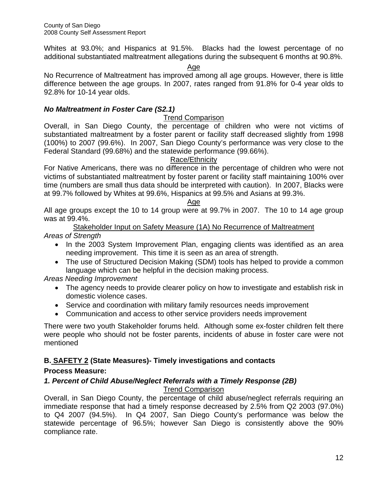Whites at 93.0%; and Hispanics at 91.5%. Blacks had the lowest percentage of no additional substantiated maltreatment allegations during the subsequent 6 months at 90.8%.

Age

No Recurrence of Maltreatment has improved among all age groups. However, there is little difference between the age groups. In 2007, rates ranged from 91.8% for 0-4 year olds to 92.8% for 10-14 year olds.

# *No Maltreatment in Foster Care (S2.1)*

# Trend Comparison

Overall, in San Diego County, the percentage of children who were not victims of substantiated maltreatment by a foster parent or facility staff decreased slightly from 1998 (100%) to 2007 (99.6%). In 2007, San Diego County's performance was very close to the Federal Standard (99.68%) and the statewide performance (99.66%).

#### Race/Ethnicity

 For Native Americans, there was no difference in the percentage of children who were not victims of substantiated maltreatment by foster parent or facility staff maintaining 100% over time (numbers are small thus data should be interpreted with caution). In 2007, Blacks were at 99.7% followed by Whites at 99.6%, Hispanics at 99.5% and Asians at 99.3%.

#### Age

All age groups except the 10 to 14 group were at 99.7% in 2007. The 10 to 14 age group was at 99.4%.

Stakeholder Input on Safety Measure (1A) No Recurrence of Maltreatment *Areas of Strength* 

- In the 2003 System Improvement Plan, engaging clients was identified as an area needing improvement. This time it is seen as an area of strength.
- The use of Structured Decision Making (SDM) tools has helped to provide a common language which can be helpful in the decision making process.

*Areas Needing Improvement* 

- The agency needs to provide clearer policy on how to investigate and establish risk in domestic violence cases.
- Service and coordination with military family resources needs improvement
- Communication and access to other service providers needs improvement

There were two youth Stakeholder forums held. Although some ex-foster children felt there were people who should not be foster parents, incidents of abuse in foster care were not mentioned

# **B. SAFETY 2 (State Measures)- Timely investigations and contacts**

# **Process Measure:**

#### *1. Percent of Child Abuse/Neglect Referrals with a Timely Response (2B)*  Trend Comparison

Overall, in San Diego County, the percentage of child abuse/neglect referrals requiring an immediate response that had a timely response decreased by 2.5% from Q2 2003 (97.0%) to Q4 2007 (94.5%). In Q4 2007, San Diego County's performance was below the statewide percentage of 96.5%; however San Diego is consistently above the 90% compliance rate.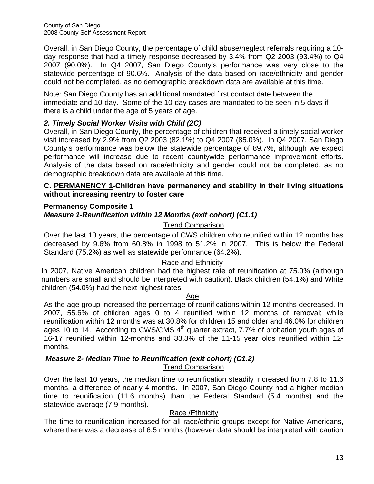Overall, in San Diego County, the percentage of child abuse/neglect referrals requiring a 10 day response that had a timely response decreased by 3.4% from Q2 2003 (93.4%) to Q4 2007 (90.0%). In Q4 2007, San Diego County's performance was very close to the statewide percentage of 90.6%. Analysis of the data based on race/ethnicity and gender could not be completed, as no demographic breakdown data are available at this time.

Note: San Diego County has an additional mandated first contact date between the immediate and 10-day. Some of the 10-day cases are mandated to be seen in 5 days if there is a child under the age of 5 years of age.

# *2. Timely Social Worker Visits with Child (2C)*

Overall, in San Diego County, the percentage of children that received a timely social worker visit increased by 2.9% from Q2 2003 (82.1%) to Q4 2007 (85.0%). In Q4 2007, San Diego County's performance was below the statewide percentage of 89.7%, although we expect performance will increase due to recent countywide performance improvement efforts. Analysis of the data based on race/ethnicity and gender could not be completed, as no demographic breakdown data are available at this time.

# **C. PERMANENCY 1-Children have permanency and stability in their living situations without increasing reentry to foster care**

# **Permanency Composite 1**

# *Measure 1-Reunification within 12 Months (exit cohort) (C1.1)*

# Trend Comparison

Over the last 10 years, the percentage of CWS children who reunified within 12 months has decreased by 9.6% from 60.8% in 1998 to 51.2% in 2007. This is below the Federal Standard (75.2%) as well as statewide performance (64.2%).

# Race and Ethnicity

In 2007, Native American children had the highest rate of reunification at 75.0% (although numbers are small and should be interpreted with caution). Black children (54.1%) and White children (54.0%) had the next highest rates.

#### Age

 As the age group increased the percentage of reunifications within 12 months decreased. In 2007, 55.6% of children ages 0 to 4 reunified within 12 months of removal; while reunification within 12 months was at 30.8% for children 15 and older and 46.0% for children ages 10 to 14. According to CWS/CMS  $4<sup>th</sup>$  quarter extract, 7.7% of probation youth ages of 16-17 reunified within 12-months and 33.3% of the 11-15 year olds reunified within 12 months.

#### *Measure 2- Median Time to Reunification (exit cohort) (C1.2)*  Trend Comparison

Over the last 10 years, the median time to reunification steadily increased from 7.8 to 11.6 months, a difference of nearly 4 months. In 2007, San Diego County had a higher median time to reunification (11.6 months) than the Federal Standard (5.4 months) and the statewide average (7.9 months).

# Race /Ethnicity

The time to reunification increased for all race/ethnic groups except for Native Americans, where there was a decrease of 6.5 months (however data should be interpreted with caution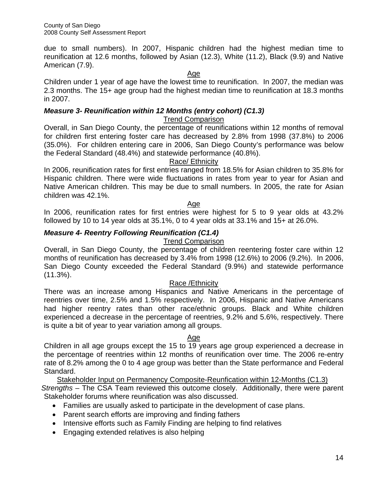County of San Diego 2008 County Self Assessment Report

due to small numbers). In 2007, Hispanic children had the highest median time to reunification at 12.6 months, followed by Asian (12.3), White (11.2), Black (9.9) and Native American (7.9).

Age

 Children under 1 year of age have the lowest time to reunification. In 2007, the median was 2.3 months. The 15+ age group had the highest median time to reunification at 18.3 months in 2007.

# *Measure 3- Reunification within 12 Months (entry cohort) (C1.3)*

#### Trend Comparison

Overall, in San Diego County, the percentage of reunifications within 12 months of removal for children first entering foster care has decreased by 2.8% from 1998 (37.8%) to 2006 (35.0%). For children entering care in 2006, San Diego County's performance was below the Federal Standard (48.4%) and statewide performance (40.8%).

#### Race/ Ethnicity

In 2006, reunification rates for first entries ranged from 18.5% for Asian children to 35.8% for Hispanic children. There were wide fluctuations in rates from year to year for Asian and Native American children. This may be due to small numbers. In 2005, the rate for Asian children was 42.1%.

#### Age

In 2006, reunification rates for first entries were highest for 5 to 9 year olds at 43.2% followed by 10 to 14 year olds at  $35.1\%$ , 0 to 4 year olds at  $33.1\%$  and  $15+$  at  $26.0\%$ .

# *Measure 4- Reentry Following Reunification (C1.4)*

# Trend Comparison

Overall, in San Diego County, the percentage of children reentering foster care within 12 months of reunification has decreased by 3.4% from 1998 (12.6%) to 2006 (9.2%). In 2006, San Diego County exceeded the Federal Standard (9.9%) and statewide performance  $(11.3\%)$ .

#### Race /Ethnicity

There was an increase among Hispanics and Native Americans in the percentage of reentries over time, 2.5% and 1.5% respectively. In 2006, Hispanic and Native Americans had higher reentry rates than other race/ethnic groups. Black and White children experienced a decrease in the percentage of reentries, 9.2% and 5.6%, respectively. There is quite a bit of year to year variation among all groups.

# Age

Children in all age groups except the 15 to 19 years age group experienced a decrease in the percentage of reentries within 12 months of reunification over time. The 2006 re-entry rate of 8.2% among the 0 to 4 age group was better than the State performance and Federal Standard.

Stakeholder Input on Permanency Composite-Reunfication within 12-Months (C1.3) *Strengths* – The CSA Team reviewed this outcome closely. Additionally, there were parent Stakeholder forums where reunification was also discussed.

- Families are usually asked to participate in the development of case plans.
- Parent search efforts are improving and finding fathers
- Intensive efforts such as Family Finding are helping to find relatives
- Engaging extended relatives is also helping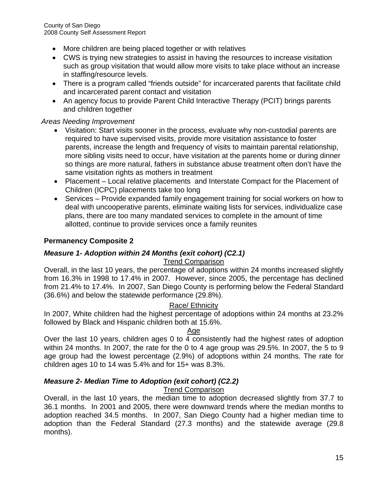County of San Diego 2008 County Self Assessment Report

- More children are being placed together or with relatives
- CWS is trying new strategies to assist in having the resources to increase visitation such as group visitation that would allow more visits to take place without an increase in staffing/resource levels.
- There is a program called "friends outside" for incarcerated parents that facilitate child and incarcerated parent contact and visitation
- An agency focus to provide Parent Child Interactive Therapy (PCIT) brings parents and children together

# *Areas Needing Improvement*

- Visitation: Start visits sooner in the process, evaluate why non-custodial parents are required to have supervised visits, provide more visitation assistance to foster parents, increase the length and frequency of visits to maintain parental relationship, more sibling visits need to occur, have visitation at the parents home or during dinner so things are more natural, fathers in substance abuse treatment often don't have the same visitation rights as mothers in treatment
- Placement Local relative placements and Interstate Compact for the Placement of Children (ICPC) placements take too long
- Services Provide expanded family engagement training for social workers on how to deal with uncooperative parents, eliminate waiting lists for services, individualize case plans, there are too many mandated services to complete in the amount of time allotted, continue to provide services once a family reunites

# **Permanency Composite 2**

# *Measure 1- Adoption within 24 Months (exit cohort) (C2.1)*

# Trend Comparison

Overall, in the last 10 years, the percentage of adoptions within 24 months increased slightly from 16.3% in 1998 to 17.4% in 2007. However, since 2005, the percentage has declined from 21.4% to 17.4%. In 2007, San Diego County is performing below the Federal Standard (36.6%) and below the statewide performance (29.8%).

# Race/ Ethnicity

In 2007, White children had the highest percentage of adoptions within 24 months at 23.2% followed by Black and Hispanic children both at 15.6%.

# Age

Over the last 10 years, children ages 0 to 4 consistently had the highest rates of adoption within 24 months. In 2007, the rate for the 0 to 4 age group was 29.5%. In 2007, the 5 to 9 age group had the lowest percentage (2.9%) of adoptions within 24 months. The rate for children ages 10 to 14 was 5.4% and for 15+ was 8.3%.

# *Measure 2- Median Time to Adoption (exit cohort) (C2.2)*

Trend Comparison

Overall, in the last 10 years, the median time to adoption decreased slightly from 37.7 to 36.1 months. In 2001 and 2005, there were downward trends where the median months to adoption reached 34.5 months. In 2007, San Diego County had a higher median time to adoption than the Federal Standard (27.3 months) and the statewide average (29.8 months).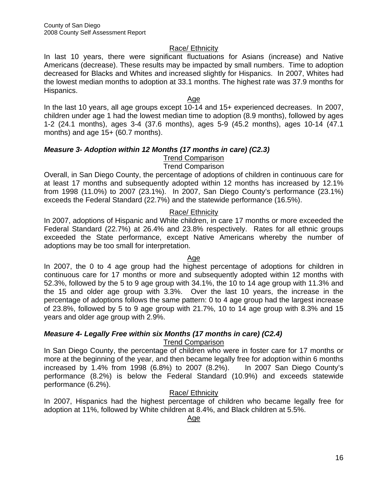# Race/ Ethnicity

In last 10 years, there were significant fluctuations for Asians (increase) and Native Americans (decrease). These results may be impacted by small numbers. Time to adoption decreased for Blacks and Whites and increased slightly for Hispanics. In 2007, Whites had the lowest median months to adoption at 33.1 months. The highest rate was 37.9 months for Hispanics.

#### Age

In the last 10 years, all age groups except 10-14 and 15+ experienced decreases. In 2007, children under age 1 had the lowest median time to adoption (8.9 months), followed by ages 1-2 (24.1 months), ages 3-4 (37.6 months), ages 5-9 (45.2 months), ages 10-14 (47.1 months) and age 15+ (60.7 months).

# *Measure 3- Adoption within 12 Months (17 months in care) (C2.3)*

### Trend Comparison

#### Trend Comparison

Overall, in San Diego County, the percentage of adoptions of children in continuous care for at least 17 months and subsequently adopted within 12 months has increased by 12.1% from 1998 (11.0%) to 2007 (23.1%). In 2007, San Diego County's performance (23.1%) exceeds the Federal Standard (22.7%) and the statewide performance (16.5%).

#### Race/ Ethnicity

In 2007, adoptions of Hispanic and White children, in care 17 months or more exceeded the Federal Standard (22.7%) at 26.4% and 23.8% respectively. Rates for all ethnic groups exceeded the State performance, except Native Americans whereby the number of adoptions may be too small for interpretation.

#### Age

In 2007, the 0 to 4 age group had the highest percentage of adoptions for children in continuous care for 17 months or more and subsequently adopted within 12 months with 52.3%, followed by the 5 to 9 age group with 34.1%, the 10 to 14 age group with 11.3% and the 15 and older age group with 3.3%. Over the last 10 years, the increase in the percentage of adoptions follows the same pattern: 0 to 4 age group had the largest increase of 23.8%, followed by 5 to 9 age group with 21.7%, 10 to 14 age group with 8.3% and 15 years and older age group with 2.9%.

#### *Measure 4- Legally Free within six Months (17 months in care) (C2.4)*  Trend Comparison

In San Diego County, the percentage of children who were in foster care for 17 months or more at the beginning of the year, and then became legally free for adoption within 6 months increased by 1.4% from 1998 (6.8%) to 2007 (8.2%). In 2007 San Diego County's performance (8.2%) is below the Federal Standard (10.9%) and exceeds statewide performance (6.2%).

# Race/ Ethnicity

In 2007, Hispanics had the highest percentage of children who became legally free for adoption at 11%, followed by White children at 8.4%, and Black children at 5.5%.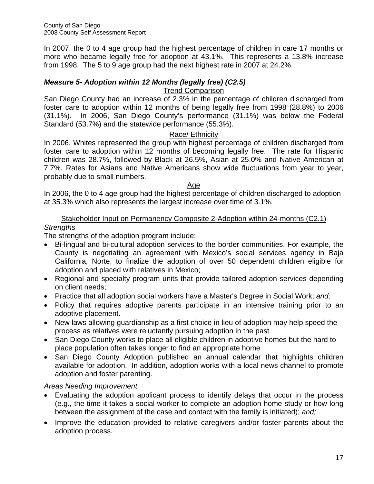In 2007, the 0 to 4 age group had the highest percentage of children in care 17 months or more who became legally free for adoption at 43.1%. This represents a 13.8% increase from 1998. The 5 to 9 age group had the next highest rate in 2007 at 24.2%.

# *Measure 5- Adoption within 12 Months (legally free) (C2.5)*

# **Trend Comparison**

San Diego County had an increase of 2.3% in the percentage of children discharged from foster care to adoption within 12 months of being legally free from 1998 (28.8%) to 2006 (31.1%). In 2006, San Diego County's performance (31.1%) was below the Federal Standard (53.7%) and the statewide performance (55.3%).

# Race/ Ethnicity

In 2006, Whites represented the group with highest percentage of children discharged from foster care to adoption within 12 months of becoming legally free. The rate for Hispanic children was 28.7%, followed by Black at 26.5%, Asian at 25.0% and Native American at 7.7%. Rates for Asians and Native Americans show wide fluctuations from year to year, probably due to small numbers.

#### Age

In 2006, the 0 to 4 age group had the highest percentage of children discharged to adoption at 35.3% which also represents the largest increase over time of 3.1%.

# Stakeholder Input on Permanency Composite 2-Adoption within 24-months (C2.1) *Strengths*

The strengths of the adoption program include:

- Bi-lingual and bi-cultural adoption services to the border communities. For example, the County is negotiating an agreement with Mexico's social services agency in Baja California, Norte, to finalize the adoption of over 50 dependent children eligible for adoption and placed with relatives in Mexico;
- Regional and specialty program units that provide tailored adoption services depending on client needs;
- Practice that all adoption social workers have a Master's Degree in Social Work; *and;*
- Policy that requires adoptive parents participate in an intensive training prior to an adoptive placement.
- New laws allowing guardianship as a first choice in lieu of adoption may help speed the process as relatives were reluctantly pursuing adoption in the past
- San Diego County works to place all eligible children in adoptive homes but the hard to place population often takes longer to find an appropriate home
- San Diego County Adoption published an annual calendar that highlights children available for adoption. In addition, adoption works with a local news channel to promote adoption and foster parenting.

# *Areas Needing Improvement*

- Evaluating the adoption applicant process to identify delays that occur in the process (e.g., the time it takes a social worker to complete an adoption home study or how long between the assignment of the case and contact with the family is initiated); *and;*
- Improve the education provided to relative caregivers and/or foster parents about the adoption process.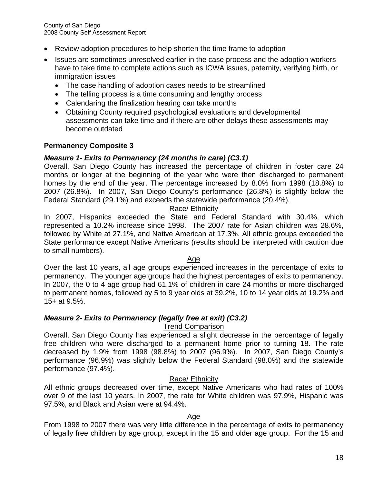- Review adoption procedures to help shorten the time frame to adoption
- Issues are sometimes unresolved earlier in the case process and the adoption workers have to take time to complete actions such as ICWA issues, paternity, verifying birth, or immigration issues
	- The case handling of adoption cases needs to be streamlined
	- The telling process is a time consuming and lengthy process
	- Calendaring the finalization hearing can take months
	- Obtaining County required psychological evaluations and developmental assessments can take time and if there are other delays these assessments may become outdated

# **Permanency Composite 3**

# *Measure 1- Exits to Permanency (24 months in care) (C3.1)*

Overall, San Diego County has increased the percentage of children in foster care 24 months or longer at the beginning of the year who were then discharged to permanent homes by the end of the year. The percentage increased by 8.0% from 1998 (18.8%) to 2007 (26.8%). In 2007, San Diego County's performance (26.8%) is slightly below the Federal Standard (29.1%) and exceeds the statewide performance (20.4%).

# Race/ Ethnicity

In 2007, Hispanics exceeded the State and Federal Standard with 30.4%, which represented a 10.2% increase since 1998. The 2007 rate for Asian children was 28.6%, followed by White at 27.1%, and Native American at 17.3%. All ethnic groups exceeded the State performance except Native Americans (results should be interpreted with caution due to small numbers).

#### Age

Over the last 10 years, all age groups experienced increases in the percentage of exits to permanency. The younger age groups had the highest percentages of exits to permanency. In 2007, the 0 to 4 age group had 61.1% of children in care 24 months or more discharged to permanent homes, followed by 5 to 9 year olds at 39.2%, 10 to 14 year olds at 19.2% and 15+ at 9.5%.

# *Measure 2- Exits to Permanency (legally free at exit) (C3.2)*

#### Trend Comparison

Overall, San Diego County has experienced a slight decrease in the percentage of legally free children who were discharged to a permanent home prior to turning 18. The rate decreased by 1.9% from 1998 (98.8%) to 2007 (96.9%). In 2007, San Diego County's performance (96.9%) was slightly below the Federal Standard (98.0%) and the statewide performance (97.4%).

# Race/ Ethnicity

All ethnic groups decreased over time, except Native Americans who had rates of 100% over 9 of the last 10 years. In 2007, the rate for White children was 97.9%, Hispanic was 97.5%, and Black and Asian were at 94.4%.

#### Age

From 1998 to 2007 there was very little difference in the percentage of exits to permanency of legally free children by age group, except in the 15 and older age group. For the 15 and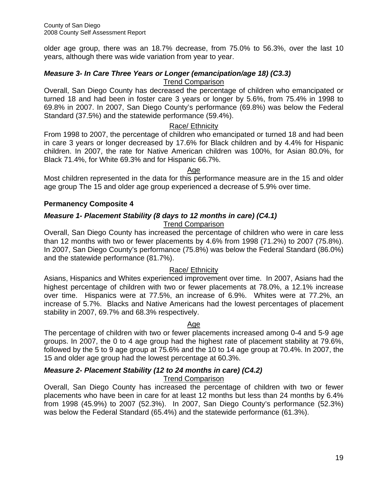older age group, there was an 18.7% decrease, from 75.0% to 56.3%, over the last 10 years, although there was wide variation from year to year.

#### *Measure 3- In Care Three Years or Longer (emancipation/age 18) (C3.3)*  Trend Comparison

Overall, San Diego County has decreased the percentage of children who emancipated or turned 18 and had been in foster care 3 years or longer by 5.6%, from 75.4% in 1998 to 69.8% in 2007. In 2007, San Diego County's performance (69.8%) was below the Federal Standard (37.5%) and the statewide performance (59.4%).

# Race/ Ethnicity

From 1998 to 2007, the percentage of children who emancipated or turned 18 and had been in care 3 years or longer decreased by 17.6% for Black children and by 4.4% for Hispanic children. In 2007, the rate for Native American children was 100%, for Asian 80.0%, for Black 71.4%, for White 69.3% and for Hispanic 66.7%.

#### Age

Most children represented in the data for this performance measure are in the 15 and older age group The 15 and older age group experienced a decrease of 5.9% over time.

# **Permanency Composite 4**

# *Measure 1- Placement Stability (8 days to 12 months in care) (C4.1)*

# Trend Comparison

Overall, San Diego County has increased the percentage of children who were in care less than 12 months with two or fewer placements by 4.6% from 1998 (71.2%) to 2007 (75.8%). In 2007, San Diego County's performance (75.8%) was below the Federal Standard (86.0%) and the statewide performance (81.7%).

# Race/ Ethnicity

Asians, Hispanics and Whites experienced improvement over time. In 2007, Asians had the highest percentage of children with two or fewer placements at 78.0%, a 12.1% increase over time. Hispanics were at 77.5%, an increase of 6.9%. Whites were at 77.2%, an increase of 5.7%. Blacks and Native Americans had the lowest percentages of placement stability in 2007, 69.7% and 68.3% respectively.

# Age

The percentage of children with two or fewer placements increased among 0-4 and 5-9 age groups. In 2007, the 0 to 4 age group had the highest rate of placement stability at 79.6%, followed by the 5 to 9 age group at 75.6% and the 10 to 14 age group at 70.4%. In 2007, the 15 and older age group had the lowest percentage at 60.3%.

# *Measure 2- Placement Stability (12 to 24 months in care) (C4.2)*

# Trend Comparison

Overall, San Diego County has increased the percentage of children with two or fewer placements who have been in care for at least 12 months but less than 24 months by 6.4% from 1998 (45.9%) to 2007 (52.3%). In 2007, San Diego County's performance (52.3%) was below the Federal Standard (65.4%) and the statewide performance (61.3%).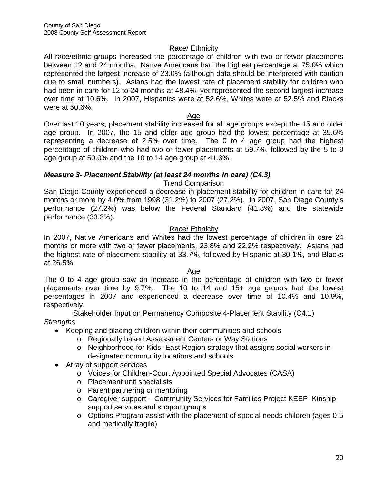# Race/ Ethnicity

All race/ethnic groups increased the percentage of children with two or fewer placements between 12 and 24 months. Native Americans had the highest percentage at 75.0% which represented the largest increase of 23.0% (although data should be interpreted with caution due to small numbers). Asians had the lowest rate of placement stability for children who had been in care for 12 to 24 months at 48.4%, yet represented the second largest increase over time at 10.6%. In 2007, Hispanics were at 52.6%, Whites were at 52.5% and Blacks were at 50.6%.

Age

Over last 10 years, placement stability increased for all age groups except the 15 and older age group. In 2007, the 15 and older age group had the lowest percentage at 35.6% representing a decrease of 2.5% over time. The 0 to 4 age group had the highest percentage of children who had two or fewer placements at 59.7%, followed by the 5 to 9 age group at 50.0% and the 10 to 14 age group at 41.3%.

### *Measure 3- Placement Stability (at least 24 months in care) (C4.3)* Trend Comparison

San Diego County experienced a decrease in placement stability for children in care for 24 months or more by 4.0% from 1998 (31.2%) to 2007 (27.2%). In 2007, San Diego County's performance (27.2%) was below the Federal Standard (41.8%) and the statewide performance (33.3%).

# Race/ Ethnicity

In 2007, Native Americans and Whites had the lowest percentage of children in care 24 months or more with two or fewer placements, 23.8% and 22.2% respectively. Asians had the highest rate of placement stability at 33.7%, followed by Hispanic at 30.1%, and Blacks at 26.5%.

#### Age

The 0 to 4 age group saw an increase in the percentage of children with two or fewer placements over time by 9.7%. The 10 to 14 and 15+ age groups had the lowest percentages in 2007 and experienced a decrease over time of 10.4% and 10.9%, respectively.

Stakeholder Input on Permanency Composite 4-Placement Stability (C4.1) *Strengths*

- Keeping and placing children within their communities and schools
	- o Regionally based Assessment Centers or Way Stations
	- o Neighborhood for Kids- East Region strategy that assigns social workers in designated community locations and schools
- Array of support services
	- o Voices for Children-Court Appointed Special Advocates (CASA)
	- o Placement unit specialists
	- o Parent partnering or mentoring
	- o Caregiver support Community Services for Families Project KEEP Kinship support services and support groups
	- o Options Program-assist with the placement of special needs children (ages 0-5 and medically fragile)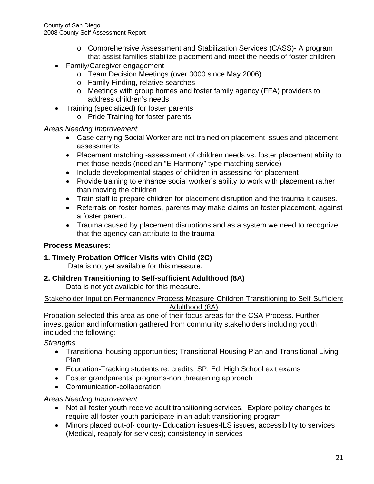- o Comprehensive Assessment and Stabilization Services (CASS)- A program that assist families stabilize placement and meet the needs of foster children
- Family/Caregiver engagement
	- o Team Decision Meetings (over 3000 since May 2006)
	- o Family Finding, relative searches
	- o Meetings with group homes and foster family agency (FFA) providers to address children's needs
- Training (specialized) for foster parents
	- o Pride Training for foster parents

# *Areas Needing Improvement*

- Case carrying Social Worker are not trained on placement issues and placement assessments
- Placement matching -assessment of children needs vs. foster placement ability to met those needs (need an "E-Harmony" type matching service)
- Include developmental stages of children in assessing for placement
- Provide training to enhance social worker's ability to work with placement rather than moving the children
- Train staff to prepare children for placement disruption and the trauma it causes.
- Referrals on foster homes, parents may make claims on foster placement, against a foster parent.
- Trauma caused by placement disruptions and as a system we need to recognize that the agency can attribute to the trauma

# **Process Measures:**

# **1. Timely Probation Officer Visits with Child (2C)**

Data is not yet available for this measure.

# **2. Children Transitioning to Self-sufficient Adulthood (8A)**

Data is not yet available for this measure.

#### Stakeholder Input on Permanency Process Measure-Children Transitioning to Self-Sufficient Adulthood (8A)

Probation selected this area as one of their focus areas for the CSA Process. Further investigation and information gathered from community stakeholders including youth included the following:

*Strengths* 

- Transitional housing opportunities; Transitional Housing Plan and Transitional Living Plan
- Education-Tracking students re: credits, SP. Ed. High School exit exams
- Foster grandparents' programs-non threatening approach
- Communication-collaboration

# *Areas Needing Improvement*

- Not all foster youth receive adult transitioning services. Explore policy changes to require all foster youth participate in an adult transitioning program
- Minors placed out-of- county- Education issues-ILS issues, accessibility to services (Medical, reapply for services); consistency in services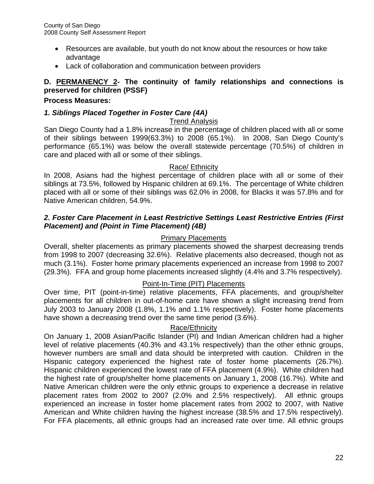- Resources are available, but youth do not know about the resources or how take advantage
- Lack of collaboration and communication between providers

# **D. PERMANENCY 2- The continuity of family relationships and connections is preserved for children (PSSF)**

# **Process Measures:**

# *1. Siblings Placed Together in Foster Care (4A)*

# Trend Analysis

San Diego County had a 1.8% increase in the percentage of children placed with all or some of their siblings between 1999(63.3%) to 2008 (65.1%). In 2008, San Diego County's performance (65.1%) was below the overall statewide percentage (70.5%) of children in care and placed with all or some of their siblings.

# Race/ Ethnicity

In 2008, Asians had the highest percentage of children place with all or some of their siblings at 73.5%, followed by Hispanic children at 69.1%. The percentage of White children placed with all or some of their siblings was 62.0% in 2008, for Blacks it was 57.8% and for Native American children, 54.9%.

# *2. Foster Care Placement in Least Restrictive Settings Least Restrictive Entries (First Placement) and (Point in Time Placement) (4B)*

# Primary Placements

Overall, shelter placements as primary placements showed the sharpest decreasing trends from 1998 to 2007 (decreasing 32.6%). Relative placements also decreased, though not as much (3.1%). Foster home primary placements experienced an increase from 1998 to 2007 (29.3%). FFA and group home placements increased slightly (4.4% and 3.7% respectively).

# Point-In-Time (PIT) Placements

Over time, PIT (point-in-time) relative placements, FFA placements, and group/shelter placements for all children in out-of-home care have shown a slight increasing trend from July 2003 to January 2008 (1.8%, 1.1% and 1.1% respectively). Foster home placements have shown a decreasing trend over the same time period (3.6%).

# Race/Ethnicity

On January 1, 2008 Asian/Pacific Islander (PI) and Indian American children had a higher level of relative placements (40.3% and 43.1% respectively) than the other ethnic groups, however numbers are small and data should be interpreted with caution. Children in the Hispanic category experienced the highest rate of foster home placements (26.7%). Hispanic children experienced the lowest rate of FFA placement (4.9%). White children had the highest rate of group/shelter home placements on January 1, 2008 (16.7%). White and Native American children were the only ethnic groups to experience a decrease in relative placement rates from 2002 to 2007 (2.0% and 2.5% respectively). All ethnic groups experienced an increase in foster home placement rates from 2002 to 2007, with Native American and White children having the highest increase (38.5% and 17.5% respectively). For FFA placements, all ethnic groups had an increased rate over time. All ethnic groups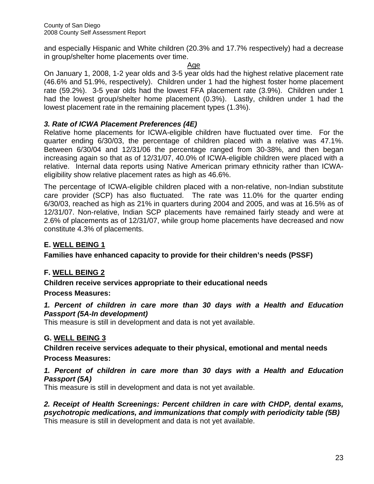and especially Hispanic and White children (20.3% and 17.7% respectively) had a decrease in group/shelter home placements over time.

#### Age

On January 1, 2008, 1-2 year olds and 3-5 year olds had the highest relative placement rate (46.6% and 51.9%, respectively). Children under 1 had the highest foster home placement rate (59.2%). 3-5 year olds had the lowest FFA placement rate (3.9%). Children under 1 had the lowest group/shelter home placement (0.3%). Lastly, children under 1 had the lowest placement rate in the remaining placement types (1.3%).

# *3. Rate of ICWA Placement Preferences (4E)*

Relative home placements for ICWA-eligible children have fluctuated over time. For the quarter ending 6/30/03, the percentage of children placed with a relative was 47.1%. Between 6/30/04 and 12/31/06 the percentage ranged from 30-38%, and then began increasing again so that as of 12/31/07, 40.0% of ICWA-eligible children were placed with a relative. Internal data reports using Native American primary ethnicity rather than ICWAeligibility show relative placement rates as high as 46.6%.

The percentage of ICWA-eligible children placed with a non-relative, non-Indian substitute care provider (SCP) has also fluctuated. The rate was 11.0% for the quarter ending 6/30/03, reached as high as 21% in quarters during 2004 and 2005, and was at 16.5% as of 12/31/07. Non-relative, Indian SCP placements have remained fairly steady and were at 2.6% of placements as of 12/31/07, while group home placements have decreased and now constitute 4.3% of placements.

# **E. WELL BEING 1**

# **Families have enhanced capacity to provide for their children's needs (PSSF)**

# **F. WELL BEING 2**

# **Children receive services appropriate to their educational needs**

# **Process Measures:**

# 1. Percent of children in care more than 30 days with a Health and Education *Passport (5A-In development)*

This measure is still in development and data is not yet available.

# **G. WELL BEING 3**

# **Children receive services adequate to their physical, emotional and mental needs**

# **Process Measures:**

# *1. Percent of children in care more than 30 days with a Health and Education Passport (5A)*

This measure is still in development and data is not yet available.

*2. Receipt of Health Screenings: Percent children in care with CHDP, dental exams, psychotropic medications, and immunizations that comply with periodicity table (5B)*  This measure is still in development and data is not yet available.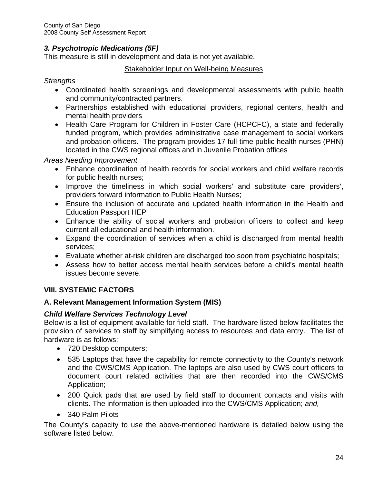# *3. Psychotropic Medications (5F)*

This measure is still in development and data is not yet available.

# Stakeholder Input on Well-being Measures

*Strengths* 

- Coordinated health screenings and developmental assessments with public health and community/contracted partners.
- Partnerships established with educational providers, regional centers, health and mental health providers
- Health Care Program for Children in Foster Care (HCPCFC), a state and federally funded program, which provides administrative case management to social workers and probation officers. The program provides 17 full-time public health nurses (PHN) located in the CWS regional offices and in Juvenile Probation offices

*Areas Needing Improvement* 

- Enhance coordination of health records for social workers and child welfare records for public health nurses;
- Improve the timeliness in which social workers' and substitute care providers', providers forward information to Public Health Nurses;
- Ensure the inclusion of accurate and updated health information in the Health and Education Passport HEP
- Enhance the ability of social workers and probation officers to collect and keep current all educational and health information.
- Expand the coordination of services when a child is discharged from mental health services;
- Evaluate whether at-risk children are discharged too soon from psychiatric hospitals;
- Assess how to better access mental health services before a child's mental health issues become severe.

# **VIII. SYSTEMIC FACTORS**

# **A. Relevant Management Information System (MIS)**

# *Child Welfare Services Technology Level*

Below is a list of equipment available for field staff. The hardware listed below facilitates the provision of services to staff by simplifying access to resources and data entry. The list of hardware is as follows:

- 720 Desktop computers;
- 535 Laptops that have the capability for remote connectivity to the County's network and the CWS/CMS Application. The laptops are also used by CWS court officers to document court related activities that are then recorded into the CWS/CMS Application;
- 200 Quick pads that are used by field staff to document contacts and visits with clients. The information is then uploaded into the CWS/CMS Application; *and,*
- 340 Palm Pilots

The County's capacity to use the above-mentioned hardware is detailed below using the software listed below.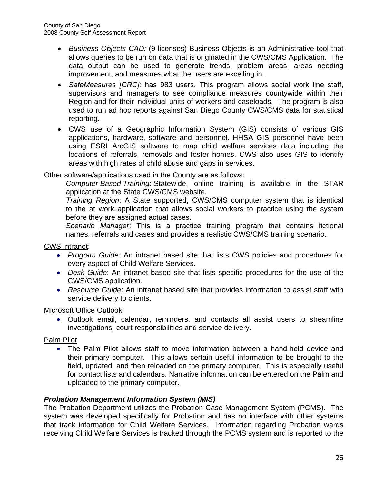- *Business Objects CAD:* (9 licenses) Business Objects is an Administrative tool that allows queries to be run on data that is originated in the CWS/CMS Application. The data output can be used to generate trends, problem areas, areas needing improvement, and measures what the users are excelling in.
- *SafeMeasures [CRC]:* has 983 users. This program allows social work line staff, supervisors and managers to see compliance measures countywide within their Region and for their individual units of workers and caseloads. The program is also used to run ad hoc reports against San Diego County CWS/CMS data for statistical reporting.
- CWS use of a Geographic Information System (GIS) consists of various GIS applications, hardware, software and personnel. HHSA GIS personnel have been using ESRI ArcGIS software to map child welfare services data including the locations of referrals, removals and foster homes. CWS also uses GIS to identify areas with high rates of child abuse and gaps in services.

Other software/applications used in the County are as follows:

*Computer Based Training*: Statewide, online training is available in the STAR application at the State CWS/CMS website.

*Training Region*: A State supported, CWS/CMS computer system that is identical to the at work application that allows social workers to practice using the system before they are assigned actual cases.

*Scenario Manager*: This is a practice training program that contains fictional names, referrals and cases and provides a realistic CWS/CMS training scenario.

CWS Intranet:

- *Program Guide*: An intranet based site that lists CWS policies and procedures for every aspect of Child Welfare Services.
- *Desk Guide*: An intranet based site that lists specific procedures for the use of the CWS/CMS application.
- *Resource Guide*: An intranet based site that provides information to assist staff with service delivery to clients.

Microsoft Office Outlook

• Outlook email, calendar, reminders, and contacts all assist users to streamline investigations, court responsibilities and service delivery.

Palm Pilot

• The Palm Pilot allows staff to move information between a hand-held device and their primary computer. This allows certain useful information to be brought to the field, updated, and then reloaded on the primary computer. This is especially useful for contact lists and calendars. Narrative information can be entered on the Palm and uploaded to the primary computer.

# *Probation Management Information System (MIS)*

The Probation Department utilizes the Probation Case Management System (PCMS). The system was developed specifically for Probation and has no interface with other systems that track information for Child Welfare Services. Information regarding Probation wards receiving Child Welfare Services is tracked through the PCMS system and is reported to the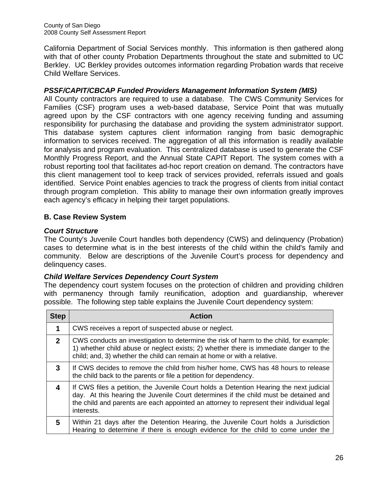California Department of Social Services monthly. This information is then gathered along with that of other county Probation Departments throughout the state and submitted to UC Berkley. UC Berkley provides outcomes information regarding Probation wards that receive Child Welfare Services.

# *PSSF/CAPIT/CBCAP Funded Providers Management Information System (MIS)*

All County contractors are required to use a database. The CWS Community Services for Families (CSF) program uses a web-based database, Service Point that was mutually agreed upon by the CSF contractors with one agency receiving funding and assuming responsibility for purchasing the database and providing the system administrator support. This database system captures client information ranging from basic demographic information to services received. The aggregation of all this information is readily available for analysis and program evaluation. This centralized database is used to generate the CSF Monthly Progress Report, and the Annual State CAPIT Report. The system comes with a robust reporting tool that facilitates ad-hoc report creation on demand. The contractors have this client management tool to keep track of services provided, referrals issued and goals identified. Service Point enables agencies to track the progress of clients from initial contact through program completion. This ability to manage their own information greatly improves each agency's efficacy in helping their target populations.

# **B. Case Review System**

# *Court Structure*

The County's Juvenile Court handles both dependency (CWS) and delinquency (Probation) cases to determine what is in the best interests of the child within the child's family and community. Below are descriptions of the Juvenile Court's process for dependency and delinquency cases.

# *Child Welfare Services Dependency Court System*

The dependency court system focuses on the protection of children and providing children with permanency through family reunification, adoption and guardianship, wherever possible. The following step table explains the Juvenile Court dependency system:

| <b>Step</b>  | <b>Action</b>                                                                                                                                                                                                                                                                             |
|--------------|-------------------------------------------------------------------------------------------------------------------------------------------------------------------------------------------------------------------------------------------------------------------------------------------|
| 1            | CWS receives a report of suspected abuse or neglect.                                                                                                                                                                                                                                      |
| $2^{\circ}$  | CWS conducts an investigation to determine the risk of harm to the child, for example:<br>1) whether child abuse or neglect exists; 2) whether there is immediate danger to the<br>child; and, 3) whether the child can remain at home or with a relative.                                |
| $\mathbf{3}$ | If CWS decides to remove the child from his/her home, CWS has 48 hours to release<br>the child back to the parents or file a petition for dependency.                                                                                                                                     |
| 4            | If CWS files a petition, the Juvenile Court holds a Detention Hearing the next judicial<br>day. At this hearing the Juvenile Court determines if the child must be detained and<br>the child and parents are each appointed an attorney to represent their individual legal<br>interests. |
| 5            | Within 21 days after the Detention Hearing, the Juvenile Court holds a Jurisdiction<br>Hearing to determine if there is enough evidence for the child to come under the                                                                                                                   |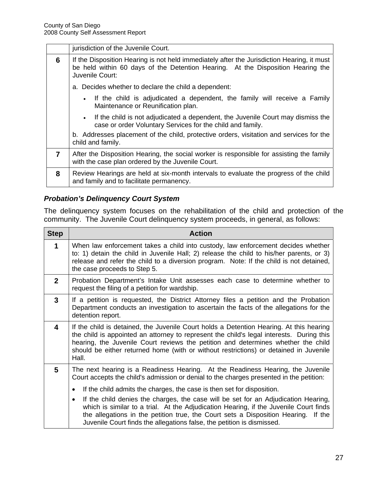|                | jurisdiction of the Juvenile Court.                                                                                                                                                              |
|----------------|--------------------------------------------------------------------------------------------------------------------------------------------------------------------------------------------------|
| 6              | If the Disposition Hearing is not held immediately after the Jurisdiction Hearing, it must<br>be held within 60 days of the Detention Hearing. At the Disposition Hearing the<br>Juvenile Court: |
|                | a. Decides whether to declare the child a dependent:                                                                                                                                             |
|                | If the child is adjudicated a dependent, the family will receive a Family<br>Maintenance or Reunification plan.                                                                                  |
|                | If the child is not adjudicated a dependent, the Juvenile Court may dismiss the<br>case or order Voluntary Services for the child and family.                                                    |
|                | b. Addresses placement of the child, protective orders, visitation and services for the<br>child and family.                                                                                     |
| $\overline{7}$ | After the Disposition Hearing, the social worker is responsible for assisting the family<br>with the case plan ordered by the Juvenile Court.                                                    |
| 8              | Review Hearings are held at six-month intervals to evaluate the progress of the child<br>and family and to facilitate permanency.                                                                |

# *Probation's Delinquency Court System*

The delinquency system focuses on the rehabilitation of the child and protection of the community. The Juvenile Court delinquency system proceeds, in general, as follows:

| <b>Step</b>    | <b>Action</b>                                                                                                                                                                                                                                                                                                                                                              |
|----------------|----------------------------------------------------------------------------------------------------------------------------------------------------------------------------------------------------------------------------------------------------------------------------------------------------------------------------------------------------------------------------|
| 1              | When law enforcement takes a child into custody, law enforcement decides whether<br>to: 1) detain the child in Juvenile Hall; 2) release the child to his/her parents, or 3)<br>release and refer the child to a diversion program. Note: If the child is not detained,<br>the case proceeds to Step 5.                                                                    |
| $\mathbf{p}$   | Probation Department's Intake Unit assesses each case to determine whether to<br>request the filing of a petition for wardship.                                                                                                                                                                                                                                            |
| $\overline{3}$ | If a petition is requested, the District Attorney files a petition and the Probation<br>Department conducts an investigation to ascertain the facts of the allegations for the<br>detention report.                                                                                                                                                                        |
| 4              | If the child is detained, the Juvenile Court holds a Detention Hearing. At this hearing<br>the child is appointed an attorney to represent the child's legal interests. During this<br>hearing, the Juvenile Court reviews the petition and determines whether the child<br>should be either returned home (with or without restrictions) or detained in Juvenile<br>Hall. |
| 5              | The next hearing is a Readiness Hearing. At the Readiness Hearing, the Juvenile<br>Court accepts the child's admission or denial to the charges presented in the petition:                                                                                                                                                                                                 |
|                | If the child admits the charges, the case is then set for disposition.<br>٠                                                                                                                                                                                                                                                                                                |
|                | If the child denies the charges, the case will be set for an Adjudication Hearing,<br>$\bullet$<br>which is similar to a trial. At the Adjudication Hearing, if the Juvenile Court finds<br>the allegations in the petition true, the Court sets a Disposition Hearing. If the<br>Juvenile Court finds the allegations false, the petition is dismissed.                   |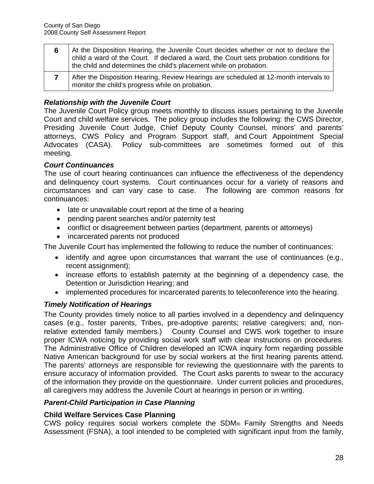| 6 | At the Disposition Hearing, the Juvenile Court decides whether or not to declare the<br>child a ward of the Court. If declared a ward, the Court sets probation conditions for<br>the child and determines the child's placement while on probation. |
|---|------------------------------------------------------------------------------------------------------------------------------------------------------------------------------------------------------------------------------------------------------|
|   | After the Disposition Hearing, Review Hearings are scheduled at 12-month intervals to<br>monitor the child's progress while on probation.                                                                                                            |

# *Relationship with the Juvenile Court*

The Juvenile Court Policy group meets monthly to discuss issues pertaining to the Juvenile Court and child welfare services. The policy group includes the following: the CWS Director, Presiding Juvenile Court Judge, Chief Deputy County Counsel, minors' and parents' attorneys, CWS Policy and Program Support staff, and Court Appointment Special Advocates (CASA). Policy sub-committees are sometimes formed out of this meeting.

# *Court Continuances*

The use of court hearing continuances can influence the effectiveness of the dependency and delinquency court systems. Court continuances occur for a variety of reasons and circumstances and can vary case to case. The following are common reasons for continuances:

- late or unavailable court report at the time of a hearing
- pending parent searches and/or paternity test
- conflict or disagreement between parties (department, parents or attorneys)
- incarcerated parents not produced

The Juvenile Court has implemented the following to reduce the number of continuances:

- identify and agree upon circumstances that warrant the use of continuances (e.g., recent assignment);
- increase efforts to establish paternity at the beginning of a dependency case, the Detention or Jurisdiction Hearing; and
- implemented procedures for incarcerated parents to teleconference into the hearing.

# *Timely Notification of Hearings*

The County provides timely notice to all parties involved in a dependency and delinquency cases (e.g., foster parents, Tribes, pre-adoptive parents; relative caregivers; and, nonrelative extended family members.) County Counsel and CWS work together to insure proper ICWA noticing by providing social work staff with clear instructions on procedures. The Administrative Office of Children developed an ICWA inquiry form regarding possible Native American background for use by social workers at the first hearing parents attend. The parents' attorneys are responsible for reviewing the questionnaire with the parents to ensure accuracy of information provided. The Court asks parents to swear to the accuracy of the information they provide on the questionnaire. Under current policies and procedures, all caregivers may address the Juvenile Court at hearings in person or in writing.

# *Parent-Child Participation in Case Planning*

# **Child Welfare Services Case Planning**

CWS policy requires social workers complete the SDM® Family Strengths and Needs Assessment (FSNA), a tool intended to be completed with significant input from the family,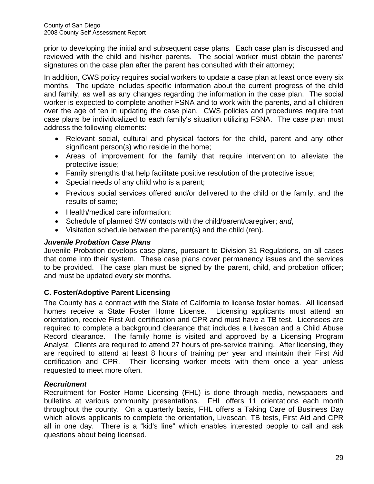prior to developing the initial and subsequent case plans. Each case plan is discussed and reviewed with the child and his/her parents. The social worker must obtain the parents' signatures on the case plan after the parent has consulted with their attorney;

In addition, CWS policy requires social workers to update a case plan at least once every six months. The update includes specific information about the current progress of the child and family, as well as any changes regarding the information in the case plan. The social worker is expected to complete another FSNA and to work with the parents, and all children over the age of ten in updating the case plan. CWS policies and procedures require that case plans be individualized to each family's situation utilizing FSNA. The case plan must address the following elements:

- Relevant social, cultural and physical factors for the child, parent and any other significant person(s) who reside in the home;
- Areas of improvement for the family that require intervention to alleviate the protective issue;
- Family strengths that help facilitate positive resolution of the protective issue;
- Special needs of any child who is a parent;
- Previous social services offered and/or delivered to the child or the family, and the results of same;
- Health/medical care information;
- Schedule of planned SW contacts with the child/parent/caregiver; *and*,
- Visitation schedule between the parent(s) and the child (ren).

# *Juvenile Probation Case Plans*

Juvenile Probation develops case plans, pursuant to Division 31 Regulations, on all cases that come into their system. These case plans cover permanency issues and the services to be provided. The case plan must be signed by the parent, child, and probation officer; and must be updated every six months.

# **C. Foster/Adoptive Parent Licensing**

The County has a contract with the State of California to license foster homes. All licensed homes receive a State Foster Home License. Licensing applicants must attend an orientation, receive First Aid certification and CPR and must have a TB test. Licensees are required to complete a background clearance that includes a Livescan and a Child Abuse Record clearance. The family home is visited and approved by a Licensing Program Analyst. Clients are required to attend 27 hours of pre-service training. After licensing, they are required to attend at least 8 hours of training per year and maintain their First Aid certification and CPR. Their licensing worker meets with them once a year unless requested to meet more often.

# *Recruitment*

Recruitment for Foster Home Licensing (FHL) is done through media, newspapers and bulletins at various community presentations. FHL offers 11 orientations each month throughout the county. On a quarterly basis, FHL offers a Taking Care of Business Day which allows applicants to complete the orientation, Livescan, TB tests, First Aid and CPR all in one day. There is a "kid's line" which enables interested people to call and ask questions about being licensed.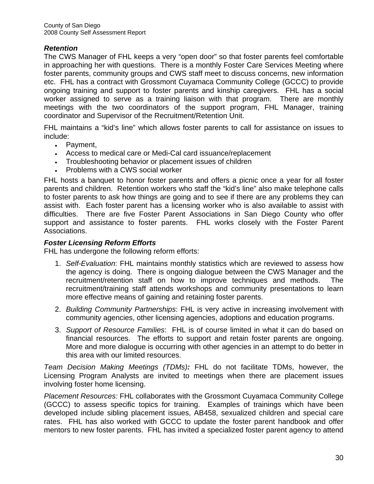# *Retention*

The CWS Manager of FHL keeps a very "open door" so that foster parents feel comfortable in approaching her with questions. There is a monthly Foster Care Services Meeting where foster parents, community groups and CWS staff meet to discuss concerns, new information etc. FHL has a contract with Grossmont Cuyamaca Community College (GCCC) to provide ongoing training and support to foster parents and kinship caregivers. FHL has a social worker assigned to serve as a training liaison with that program. There are monthly meetings with the two coordinators of the support program, FHL Manager, training coordinator and Supervisor of the Recruitment/Retention Unit.

FHL maintains a "kid's line" which allows foster parents to call for assistance on issues to include:

- Payment,
- Access to medical care or Medi-Cal card issuance/replacement
- Troubleshooting behavior or placement issues of children
- Problems with a CWS social worker

FHL hosts a banquet to honor foster parents and offers a picnic once a year for all foster parents and children. Retention workers who staff the "kid's line" also make telephone calls to foster parents to ask how things are going and to see if there are any problems they can assist with. Each foster parent has a licensing worker who is also available to assist with difficulties. There are five Foster Parent Associations in San Diego County who offer support and assistance to foster parents. FHL works closely with the Foster Parent Associations.

# *Foster Licensing Reform Efforts*

FHL has undergone the following reform efforts:

- 1. *Self-Evaluation*: FHL maintains monthly statistics which are reviewed to assess how the agency is doing. There is ongoing dialogue between the CWS Manager and the recruitment/retention staff on how to improve techniques and methods. The recruitment/training staff attends workshops and community presentations to learn more effective means of gaining and retaining foster parents.
- 2. *Building Community Partnerships*: FHL is very active in increasing involvement with community agencies, other licensing agencies, adoptions and education programs.
- 3. *Support of Resource Families*: FHL is of course limited in what it can do based on financial resources. The efforts to support and retain foster parents are ongoing. More and more dialogue is occurring with other agencies in an attempt to do better in this area with our limited resources.

*Team Decision Making Meetings (TDMs):* FHL do not facilitate TDMs, however, the Licensing Program Analysts are invited to meetings when there are placement issues involving foster home licensing.

*Placement Resources:* FHL collaborates with the Grossmont Cuyamaca Community College (GCCC) to assess specific topics for training. Examples of trainings which have been developed include sibling placement issues, AB458, sexualized children and special care rates. FHL has also worked with GCCC to update the foster parent handbook and offer mentors to new foster parents. FHL has invited a specialized foster parent agency to attend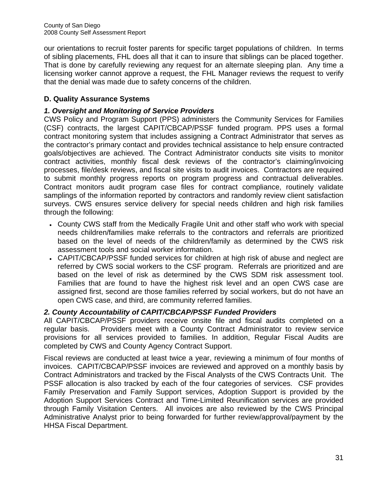our orientations to recruit foster parents for specific target populations of children. In terms of sibling placements, FHL does all that it can to insure that siblings can be placed together. That is done by carefully reviewing any request for an alternate sleeping plan. Any time a licensing worker cannot approve a request, the FHL Manager reviews the request to verify that the denial was made due to safety concerns of the children.

# **D. Quality Assurance Systems**

# *1. Oversight and Monitoring of Service Providers*

CWS Policy and Program Support (PPS) administers the Community Services for Families (CSF) contracts, the largest CAPIT/CBCAP/PSSF funded program. PPS uses a formal contract monitoring system that includes assigning a Contract Administrator that serves as the contractor's primary contact and provides technical assistance to help ensure contracted goals/objectives are achieved. The Contract Administrator conducts site visits to monitor contract activities, monthly fiscal desk reviews of the contractor's claiming/invoicing processes, file/desk reviews, and fiscal site visits to audit invoices. Contractors are required to submit monthly progress reports on program progress and contractual deliverables. Contract monitors audit program case files for contract compliance, routinely validate samplings of the information reported by contractors and randomly review client satisfaction surveys. CWS ensures service delivery for special needs children and high risk families through the following:

- County CWS staff from the Medically Fragile Unit and other staff who work with special needs children/families make referrals to the contractors and referrals are prioritized based on the level of needs of the children/family as determined by the CWS risk assessment tools and social worker information.
- CAPIT/CBCAP/PSSF funded services for children at high risk of abuse and neglect are referred by CWS social workers to the CSF program. Referrals are prioritized and are based on the level of risk as determined by the CWS SDM risk assessment tool. Families that are found to have the highest risk level and an open CWS case are assigned first, second are those families referred by social workers, but do not have an open CWS case, and third, are community referred families.

# *2. County Accountability of CAPIT/CBCAP/PSSF Funded Providers*

 All CAPIT/CBCAP/PSSF providers receive onsite file and fiscal audits completed on a regular basis. Providers meet with a County Contract Administrator to review service provisions for all services provided to families. In addition, Regular Fiscal Audits are completed by CWS and County Agency Contract Support.

Fiscal reviews are conducted at least twice a year, reviewing a minimum of four months of invoices. CAPIT/CBCAP/PSSF invoices are reviewed and approved on a monthly basis by Contract Administrators and tracked by the Fiscal Analysts of the CWS Contracts Unit. The PSSF allocation is also tracked by each of the four categories of services. CSF provides Family Preservation and Family Support services, Adoption Support is provided by the Adoption Support Services Contract and Time-Limited Reunification services are provided through Family Visitation Centers. All invoices are also reviewed by the CWS Principal Administrative Analyst prior to being forwarded for further review/approval/payment by the HHSA Fiscal Department.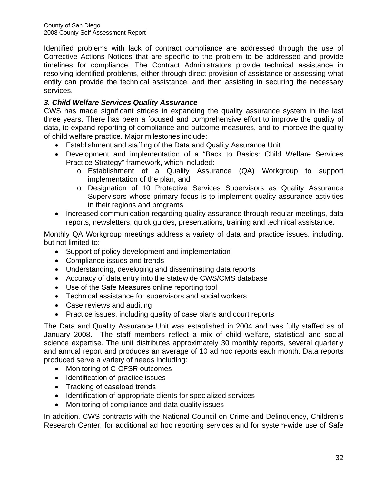County of San Diego 2008 County Self Assessment Report

Identified problems with lack of contract compliance are addressed through the use of Corrective Actions Notices that are specific to the problem to be addressed and provide timelines for compliance. The Contract Administrators provide technical assistance in resolving identified problems, either through direct provision of assistance or assessing what entity can provide the technical assistance, and then assisting in securing the necessary services.

## *3. Child Welfare Services Quality Assurance*

CWS has made significant strides in expanding the quality assurance system in the last three years. There has been a focused and comprehensive effort to improve the quality of data, to expand reporting of compliance and outcome measures, and to improve the quality of child welfare practice. Major milestones include:

- Establishment and staffing of the Data and Quality Assurance Unit
- Development and implementation of a "Back to Basics: Child Welfare Services Practice Strategy" framework, which included:
	- o Establishment of a Quality Assurance (QA) Workgroup to support implementation of the plan, and
	- o Designation of 10 Protective Services Supervisors as Quality Assurance Supervisors whose primary focus is to implement quality assurance activities in their regions and programs
- Increased communication regarding quality assurance through regular meetings, data reports, newsletters, quick guides, presentations, training and technical assistance.

Monthly QA Workgroup meetings address a variety of data and practice issues, including, but not limited to:

- Support of policy development and implementation
- Compliance issues and trends
- Understanding, developing and disseminating data reports
- Accuracy of data entry into the statewide CWS/CMS database
- Use of the Safe Measures online reporting tool
- Technical assistance for supervisors and social workers
- Case reviews and auditing
- Practice issues, including quality of case plans and court reports

The Data and Quality Assurance Unit was established in 2004 and was fully staffed as of January 2008. The staff members reflect a mix of child welfare, statistical and social science expertise. The unit distributes approximately 30 monthly reports, several quarterly and annual report and produces an average of 10 ad hoc reports each month. Data reports produced serve a variety of needs including:

- Monitoring of C-CFSR outcomes
- Identification of practice issues
- Tracking of caseload trends
- Identification of appropriate clients for specialized services
- Monitoring of compliance and data quality issues

In addition, CWS contracts with the National Council on Crime and Delinquency, Children's Research Center, for additional ad hoc reporting services and for system-wide use of Safe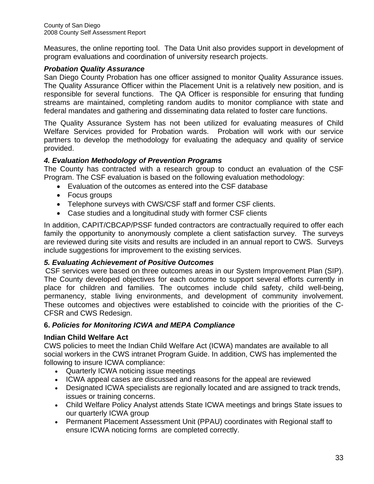Measures, the online reporting tool. The Data Unit also provides support in development of program evaluations and coordination of university research projects.

### *Probation Quality Assurance*

San Diego County Probation has one officer assigned to monitor Quality Assurance issues. The Quality Assurance Officer within the Placement Unit is a relatively new position, and is responsible for several functions. The QA Officer is responsible for ensuring that funding streams are maintained, completing random audits to monitor compliance with state and federal mandates and gathering and disseminating data related to foster care functions.

The Quality Assurance System has not been utilized for evaluating measures of Child Welfare Services provided for Probation wards. Probation will work with our service partners to develop the methodology for evaluating the adequacy and quality of service provided.

#### *4. Evaluation Methodology of Prevention Programs*

The County has contracted with a research group to conduct an evaluation of the CSF Program. The CSF evaluation is based on the following evaluation methodology:

- Evaluation of the outcomes as entered into the CSF database
- Focus groups
- Telephone surveys with CWS/CSF staff and former CSF clients.
- Case studies and a longitudinal study with former CSF clients

 In addition, CAPIT/CBCAP/PSSF funded contractors are contractually required to offer each family the opportunity to anonymously complete a client satisfaction survey. The surveys are reviewed during site visits and results are included in an annual report to CWS. Surveys include suggestions for improvement to the existing services.

## *5. Evaluating Achievement of Positive Outcomes*

 CSF services were based on three outcomes areas in our System Improvement Plan (SIP). The County developed objectives for each outcome to support several efforts currently in place for children and families. The outcomes include child safety, child well-being, permanency, stable living environments, and development of community involvement. These outcomes and objectives were established to coincide with the priorities of the C-CFSR and CWS Redesign.

## **6.** *Policies for Monitoring ICWA and MEPA Compliance*

## **Indian Child Welfare Act**

CWS policies to meet the Indian Child Welfare Act (ICWA) mandates are available to all social workers in the CWS intranet Program Guide. In addition, CWS has implemented the following to insure ICWA compliance:

- Quarterly ICWA noticing issue meetings
- ICWA appeal cases are discussed and reasons for the appeal are reviewed
- Designated ICWA specialists are regionally located and are assigned to track trends, issues or training concerns.
- Child Welfare Policy Analyst attends State ICWA meetings and brings State issues to our quarterly ICWA group
- Permanent Placement Assessment Unit (PPAU) coordinates with Regional staff to ensure ICWA noticing forms are completed correctly.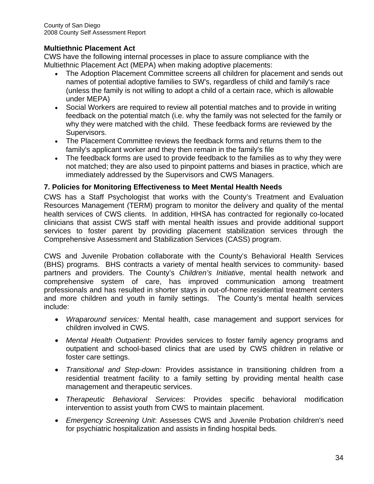## **Multiethnic Placement Act**

CWS have the following internal processes in place to assure compliance with the Multiethnic Placement Act (MEPA) when making adoptive placements:

- The Adoption Placement Committee screens all children for placement and sends out names of potential adoptive families to SW's, regardless of child and family's race (unless the family is not willing to adopt a child of a certain race, which is allowable under MEPA)
- Social Workers are required to review all potential matches and to provide in writing feedback on the potential match (i.e. why the family was not selected for the family or why they were matched with the child. These feedback forms are reviewed by the Supervisors.
- The Placement Committee reviews the feedback forms and returns them to the family's applicant worker and they then remain in the family's file
- The feedback forms are used to provide feedback to the families as to why they were not matched; they are also used to pinpoint patterns and biases in practice, which are immediately addressed by the Supervisors and CWS Managers.

#### **7. Policies for Monitoring Effectiveness to Meet Mental Health Needs**

CWS has a Staff Psychologist that works with the County's Treatment and Evaluation Resources Management (TERM) program to monitor the delivery and quality of the mental health services of CWS clients. In addition, HHSA has contracted for regionally co-located clinicians that assist CWS staff with mental health issues and provide additional support services to foster parent by providing placement stabilization services through the Comprehensive Assessment and Stabilization Services (CASS) program.

CWS and Juvenile Probation collaborate with the County's Behavioral Health Services (BHS) programs. BHS contracts a variety of mental health services to community- based partners and providers. The County's *Children's Initiative*, mental health network and comprehensive system of care, has improved communication among treatment professionals and has resulted in shorter stays in out-of-home residential treatment centers and more children and youth in family settings. The County's mental health services include:

- *Wraparound services:* Mental health, case management and support services for children involved in CWS.
- *Mental Health Outpatient:* Provides services to foster family agency programs and outpatient and school-based clinics that are used by CWS children in relative or foster care settings.
- *Transitional and Step-down:* Provides assistance in transitioning children from a residential treatment facility to a family setting by providing mental health case management and therapeutic services.
- *Therapeutic Behavioral Services*: Provides specific behavioral modification intervention to assist youth from CWS to maintain placement.
- *Emergency Screening Unit*: Assesses CWS and Juvenile Probation children's need for psychiatric hospitalization and assists in finding hospital beds.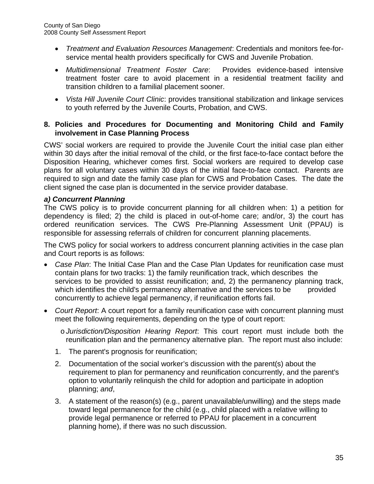- *Treatment and Evaluation Resources Management*: Credentials and monitors fee-forservice mental health providers specifically for CWS and Juvenile Probation.
- *Multidimensional Treatment Foster Care*: Provides evidence-based intensive treatment foster care to avoid placement in a residential treatment facility and transition children to a familial placement sooner.
- *Vista Hill Juvenile Court Clinic*: provides transitional stabilization and linkage services to youth referred by the Juvenile Courts, Probation, and CWS.

#### **8. Policies and Procedures for Documenting and Monitoring Child and Family involvement in Case Planning Process**

CWS' social workers are required to provide the Juvenile Court the initial case plan either within 30 days after the initial removal of the child, or the first face-to-face contact before the Disposition Hearing, whichever comes first. Social workers are required to develop case plans for all voluntary cases within 30 days of the initial face-to-face contact. Parents are required to sign and date the family case plan for CWS and Probation Cases. The date the client signed the case plan is documented in the service provider database.

#### *a) Concurrent Planning*

The CWS policy is to provide concurrent planning for all children when: 1) a petition for dependency is filed; 2) the child is placed in out-of-home care; and/or, 3) the court has ordered reunification services. The CWS Pre-Planning Assessment Unit (PPAU) is responsible for assessing referrals of children for concurrent planning placements.

The CWS policy for social workers to address concurrent planning activities in the case plan and Court reports is as follows:

- *Case Plan*: The Initial Case Plan and the Case Plan Updates for reunification case must contain plans for two tracks: 1) the family reunification track, which describes the services to be provided to assist reunification; and, 2) the permanency planning track, which identifies the child's permanency alternative and the services to be provided concurrently to achieve legal permanency, if reunification efforts fail.
- *Court Report*: A court report for a family reunification case with concurrent planning must meet the following requirements, depending on the type of court report:

o *Jurisdiction/Disposition Hearing Report*: This court report must include both the reunification plan and the permanency alternative plan. The report must also include:

- 1. The parent's prognosis for reunification;
- 2. Documentation of the social worker's discussion with the parent(s) about the requirement to plan for permanency and reunification concurrently, and the parent's option to voluntarily relinquish the child for adoption and participate in adoption planning; *and*,
- 3. A statement of the reason(s) (e.g., parent unavailable/unwilling) and the steps made toward legal permanence for the child (e.g., child placed with a relative willing to provide legal permanence or referred to PPAU for placement in a concurrent planning home), if there was no such discussion.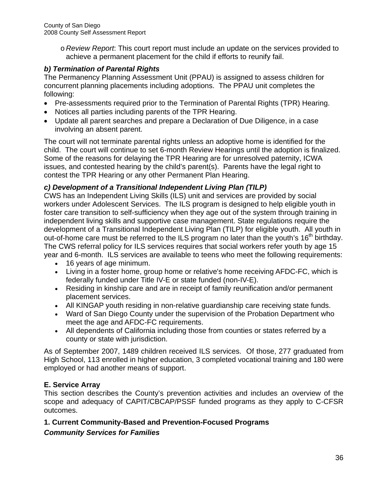o *Review Report*: This court report must include an update on the services provided to achieve a permanent placement for the child if efforts to reunify fail.

## *b) Termination of Parental Rights*

The Permanency Planning Assessment Unit (PPAU) is assigned to assess children for concurrent planning placements including adoptions. The PPAU unit completes the following:

- Pre-assessments required prior to the Termination of Parental Rights (TPR) Hearing.
- Notices all parties including parents of the TPR Hearing.
- Update all parent searches and prepare a Declaration of Due Diligence, in a case involving an absent parent.

The court will not terminate parental rights unless an adoptive home is identified for the child. The court will continue to set 6-month Review Hearings until the adoption is finalized. Some of the reasons for delaying the TPR Hearing are for unresolved paternity, ICWA issues, and contested hearing by the child's parent(s). Parents have the legal right to contest the TPR Hearing or any other Permanent Plan Hearing.

## *c) Development of a Transitional Independent Living Plan (TILP)*

CWS has an Independent Living Skills (ILS) unit and services are provided by social workers under Adolescent Services. The ILS program is designed to help eligible youth in foster care transition to self-sufficiency when they age out of the system through training in independent living skills and supportive case management. State regulations require the development of a Transitional Independent Living Plan (TILP) for eligible youth. All youth in out-of-home care must be referred to the ILS program no later than the youth's  $16<sup>th</sup>$  birthday. The CWS referral policy for ILS services requires that social workers refer youth by age 15 year and 6-month. ILS services are available to teens who meet the following requirements:

- 16 years of age minimum.
- Living in a foster home, group home or relative's home receiving AFDC-FC, which is federally funded under Title IV-E or state funded (non-IV-E).
- Residing in kinship care and are in receipt of family reunification and/or permanent placement services.
- All KINGAP youth residing in non-relative guardianship care receiving state funds.
- Ward of San Diego County under the supervision of the Probation Department who meet the age and AFDC-FC requirements.
- All dependents of California including those from counties or states referred by a county or state with jurisdiction.

As of September 2007, 1489 children received ILS services. Of those, 277 graduated from High School, 113 enrolled in higher education, 3 completed vocational training and 180 were employed or had another means of support.

## **E. Service Array**

This section describes the County's prevention activities and includes an overview of the scope and adequacy of CAPIT/CBCAP/PSSF funded programs as they apply to C-CFSR outcomes.

#### **1. Current Community-Based and Prevention-Focused Programs**  *Community Services for Families*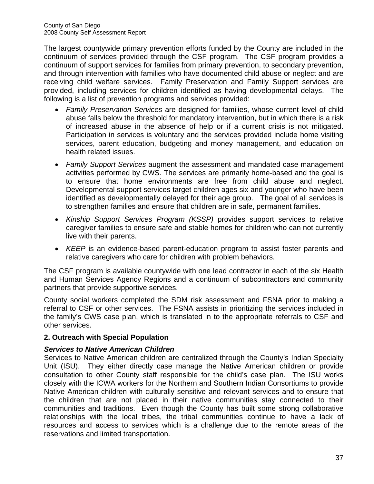The largest countywide primary prevention efforts funded by the County are included in the continuum of services provided through the CSF program. The CSF program provides a continuum of support services for families from primary prevention, to secondary prevention, and through intervention with families who have documented child abuse or neglect and are receiving child welfare services. Family Preservation and Family Support services are provided, including services for children identified as having developmental delays. The following is a list of prevention programs and services provided:

- *Family Preservation Services* are designed for families, whose current level of child abuse falls below the threshold for mandatory intervention, but in which there is a risk of increased abuse in the absence of help or if a current crisis is not mitigated. Participation in services is voluntary and the services provided include home visiting services, parent education, budgeting and money management, and education on health related issues.
- *Family Support Services* augment the assessment and mandated case management activities performed by CWS. The services are primarily home-based and the goal is to ensure that home environments are free from child abuse and neglect. Developmental support services target children ages six and younger who have been identified as developmentally delayed for their age group. The goal of all services is to strengthen families and ensure that children are in safe, permanent families.
- *Kinship Support Services Program (KSSP)* provides support services to relative caregiver families to ensure safe and stable homes for children who can not currently live with their parents.
- *KEEP* is an evidence-based parent-education program to assist foster parents and relative caregivers who care for children with problem behaviors.

The CSF program is available countywide with one lead contractor in each of the six Health and Human Services Agency Regions and a continuum of subcontractors and community partners that provide supportive services.

County social workers completed the SDM risk assessment and FSNA prior to making a referral to CSF or other services. The FSNA assists in prioritizing the services included in the family's CWS case plan, which is translated in to the appropriate referrals to CSF and other services.

#### **2. Outreach with Special Population**

#### *Services to Native American Children*

Services to Native American children are centralized through the County's Indian Specialty Unit (ISU). They either directly case manage the Native American children or provide consultation to other County staff responsible for the child's case plan. The ISU works closely with the ICWA workers for the Northern and Southern Indian Consortiums to provide Native American children with culturally sensitive and relevant services and to ensure that the children that are not placed in their native communities stay connected to their communities and traditions. Even though the County has built some strong collaborative relationships with the local tribes, the tribal communities continue to have a lack of resources and access to services which is a challenge due to the remote areas of the reservations and limited transportation.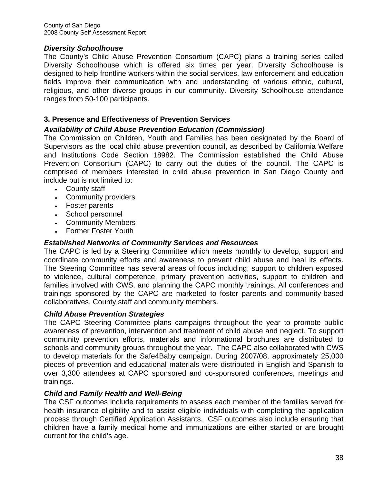#### *Diversity Schoolhouse*

The County's Child Abuse Prevention Consortium (CAPC) plans a training series called Diversity Schoolhouse which is offered six times per year. Diversity Schoolhouse is designed to help frontline workers within the social services, law enforcement and education fields improve their communication with and understanding of various ethnic, cultural, religious, and other diverse groups in our community. Diversity Schoolhouse attendance ranges from 50-100 participants.

#### **3. Presence and Effectiveness of Prevention Services**

#### *Availability of Child Abuse Prevention Education (Commission)*

The Commission on Children, Youth and Families has been designated by the Board of Supervisors as the local child abuse prevention council, as described by California Welfare and Institutions Code Section 18982. The Commission established the Child Abuse Prevention Consortium (CAPC) to carry out the duties of the council. The CAPC is comprised of members interested in child abuse prevention in San Diego County and include but is not limited to:

- County staff
- Community providers
- Foster parents
- School personnel
- Community Members
- Former Foster Youth

#### *Established Networks of Community Services and Resources*

The CAPC is led by a Steering Committee which meets monthly to develop, support and coordinate community efforts and awareness to prevent child abuse and heal its effects. The Steering Committee has several areas of focus including; support to children exposed to violence, cultural competence, primary prevention activities, support to children and families involved with CWS, and planning the CAPC monthly trainings. All conferences and trainings sponsored by the CAPC are marketed to foster parents and community-based collaboratives, County staff and community members.

#### *Child Abuse Prevention Strategies*

The CAPC Steering Committee plans campaigns throughout the year to promote public awareness of prevention, intervention and treatment of child abuse and neglect. To support community prevention efforts, materials and informational brochures are distributed to schools and community groups throughout the year. The CAPC also collaborated with CWS to develop materials for the Safe4Baby campaign. During 2007/08, approximately 25,000 pieces of prevention and educational materials were distributed in English and Spanish to over 3,300 attendees at CAPC sponsored and co-sponsored conferences, meetings and trainings.

#### *Child and Family Health and Well-Being*

The CSF outcomes include requirements to assess each member of the families served for health insurance eligibility and to assist eligible individuals with completing the application process through Certified Application Assistants. CSF outcomes also include ensuring that children have a family medical home and immunizations are either started or are brought current for the child's age.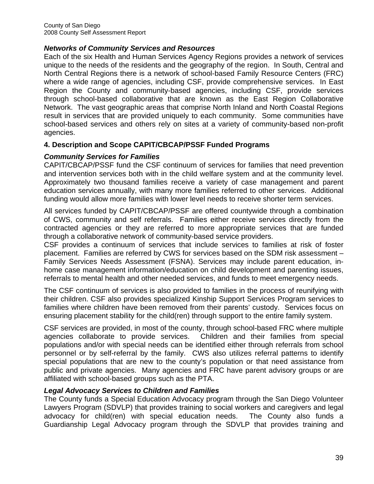#### *Networks of Community Services and Resources*

Each of the six Health and Human Services Agency Regions provides a network of services unique to the needs of the residents and the geography of the region. In South, Central and North Central Regions there is a network of school-based Family Resource Centers (FRC) where a wide range of agencies, including CSF, provide comprehensive services. In East Region the County and community-based agencies, including CSF, provide services through school-based collaborative that are known as the East Region Collaborative Network. The vast geographic areas that comprise North Inland and North Coastal Regions result in services that are provided uniquely to each community. Some communities have school-based services and others rely on sites at a variety of community-based non-profit agencies.

#### **4. Description and Scope CAPIT/CBCAP/PSSF Funded Programs**

#### *Community Services for Families*

CAPIT/CBCAP/PSSF fund the CSF continuum of services for families that need prevention and intervention services both with in the child welfare system and at the community level. Approximately two thousand families receive a variety of case management and parent education services annually, with many more families referred to other services. Additional funding would allow more families with lower level needs to receive shorter term services.

All services funded by CAPIT/CBCAP/PSSF are offered countywide through a combination of CWS, community and self referrals. Families either receive services directly from the contracted agencies or they are referred to more appropriate services that are funded through a collaborative network of community-based service providers.

CSF provides a continuum of services that include services to families at risk of foster placement. Families are referred by CWS for services based on the SDM risk assessment – Family Services Needs Assessment (FSNA). Services may include parent education, inhome case management information/education on child development and parenting issues, referrals to mental health and other needed services, and funds to meet emergency needs.

The CSF continuum of services is also provided to families in the process of reunifying with their children. CSF also provides specialized Kinship Support Services Program services to families where children have been removed from their parents' custody. Services focus on ensuring placement stability for the child(ren) through support to the entire family system.

CSF services are provided, in most of the county, through school-based FRC where multiple agencies collaborate to provide services. Children and their families from special populations and/or with special needs can be identified either through referrals from school personnel or by self-referral by the family. CWS also utilizes referral patterns to identify special populations that are new to the county's population or that need assistance from public and private agencies. Many agencies and FRC have parent advisory groups or are affiliated with school-based groups such as the PTA.

#### *Legal Advocacy Services to Children and Families*

The County funds a Special Education Advocacy program through the San Diego Volunteer Lawyers Program (SDVLP) that provides training to social workers and caregivers and legal advocacy for child(ren) with special education needs. The County also funds a Guardianship Legal Advocacy program through the SDVLP that provides training and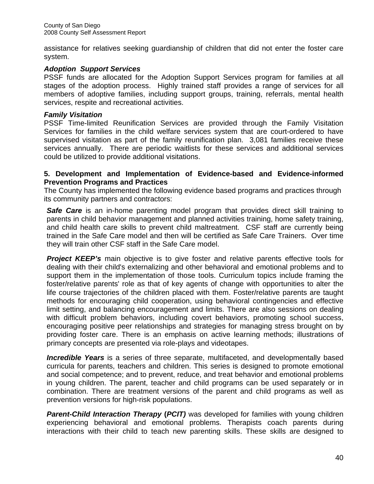assistance for relatives seeking guardianship of children that did not enter the foster care system.

#### *Adoption Support Services*

PSSF funds are allocated for the Adoption Support Services program for families at all stages of the adoption process. Highly trained staff provides a range of services for all members of adoptive families, including support groups, training, referrals, mental health services, respite and recreational activities.

#### *Family Visitation*

PSSF Time-limited Reunification Services are provided through the Family Visitation Services for families in the child welfare services system that are court-ordered to have supervised visitation as part of the family reunification plan. 3,081 families receive these services annually. There are periodic waitlists for these services and additional services could be utilized to provide additional visitations.

#### **5. Development and Implementation of Evidence-based and Evidence-informed Prevention Programs and Practices**

The County has implemented the following evidence based programs and practices through its community partners and contractors:

*Safe Care* is an in-home parenting model program that provides direct skill training to parents in child behavior management and planned activities training, home safety training, and child health care skills to prevent child maltreatment. CSF staff are currently being trained in the Safe Care model and then will be certified as Safe Care Trainers. Over time they will train other CSF staff in the Safe Care model.

**Project KEEP's** main objective is to give foster and relative parents effective tools for dealing with their child's externalizing and other behavioral and emotional problems and to support them in the implementation of those tools. Curriculum topics include framing the foster/relative parents' role as that of key agents of change with opportunities to alter the life course trajectories of the children placed with them. Foster/relative parents are taught methods for encouraging child cooperation, using behavioral contingencies and effective limit setting, and balancing encouragement and limits. There are also sessions on dealing with difficult problem behaviors, including covert behaviors, promoting school success, encouraging positive peer relationships and strategies for managing stress brought on by providing foster care. There is an emphasis on active learning methods; illustrations of primary concepts are presented via role-plays and videotapes.

*Incredible Years* is a series of three separate, multifaceted, and developmentally based curricula for parents, teachers and children. This series is designed to promote emotional and social competence; and to prevent, reduce, and treat behavior and emotional problems in young children. The parent, teacher and child programs can be used separately or in combination. There are treatment versions of the parent and child programs as well as prevention versions for high-risk populations.

**Parent-Child Interaction Therapy (PCIT)** was developed for families with young children experiencing behavioral and emotional problems. Therapists coach parents during interactions with their child to teach new parenting skills. These skills are designed to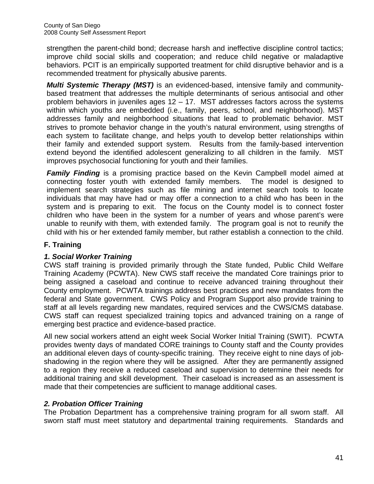strengthen the parent-child bond; decrease harsh and ineffective discipline control tactics; improve child social skills and cooperation; and reduce child negative or maladaptive behaviors. PCIT is an empirically supported treatment for child disruptive behavior and is a recommended treatment for physically abusive parents.

*Multi Systemic Therapy (MST)* is an evidenced-based, intensive family and communitybased treatment that addresses the multiple determinants of serious antisocial and other problem behaviors in juveniles ages 12 – 17. MST addresses factors across the systems within which youths are embedded (i.e., family, peers, school, and neighborhood). MST addresses family and neighborhood situations that lead to problematic behavior. MST strives to promote behavior change in the youth's natural environment, using strengths of each system to facilitate change, and helps youth to develop better relationships within their family and extended support system. Results from the family-based intervention extend beyond the identified adolescent generalizing to all children in the family. MST improves psychosocial functioning for youth and their families.

**Family Finding** is a promising practice based on the Kevin Campbell model aimed at connecting foster youth with extended family members. The model is designed to implement search strategies such as file mining and internet search tools to locate individuals that may have had or may offer a connection to a child who has been in the system and is preparing to exit. The focus on the County model is to connect foster children who have been in the system for a number of years and whose parent's were unable to reunify with them, with extended family. The program goal is not to reunify the child with his or her extended family member, but rather establish a connection to the child.

## **F. Training**

## *1. Social Worker Training*

CWS staff training is provided primarily through the State funded, Public Child Welfare Training Academy (PCWTA). New CWS staff receive the mandated Core trainings prior to being assigned a caseload and continue to receive advanced training throughout their County employment. PCWTA trainings address best practices and new mandates from the federal and State government. CWS Policy and Program Support also provide training to staff at all levels regarding new mandates, required services and the CWS/CMS database. CWS staff can request specialized training topics and advanced training on a range of emerging best practice and evidence-based practice.

All new social workers attend an eight week Social Worker Initial Training (SWIT). PCWTA provides twenty days of mandated CORE trainings to County staff and the County provides an additional eleven days of county-specific training. They receive eight to nine days of jobshadowing in the region where they will be assigned. After they are permanently assigned to a region they receive a reduced caseload and supervision to determine their needs for additional training and skill development. Their caseload is increased as an assessment is made that their competencies are sufficient to manage additional cases.

#### *2. Probation Officer Training*

The Probation Department has a comprehensive training program for all sworn staff. All sworn staff must meet statutory and departmental training requirements. Standards and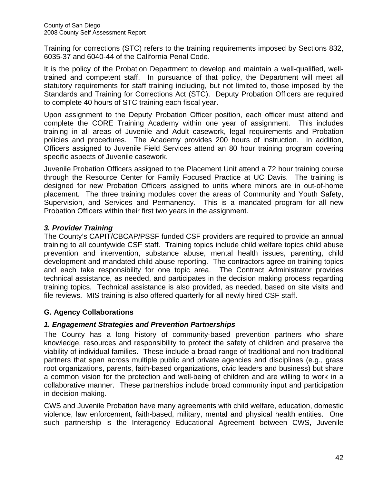Training for corrections (STC) refers to the training requirements imposed by Sections 832, 6035-37 and 6040-44 of the California Penal Code.

It is the policy of the Probation Department to develop and maintain a well-qualified, welltrained and competent staff. In pursuance of that policy, the Department will meet all statutory requirements for staff training including, but not limited to, those imposed by the Standards and Training for Corrections Act (STC). Deputy Probation Officers are required to complete 40 hours of STC training each fiscal year.

Upon assignment to the Deputy Probation Officer position, each officer must attend and complete the CORE Training Academy within one year of assignment. This includes training in all areas of Juvenile and Adult casework, legal requirements and Probation policies and procedures. The Academy provides 200 hours of instruction. In addition, Officers assigned to Juvenile Field Services attend an 80 hour training program covering specific aspects of Juvenile casework.

Juvenile Probation Officers assigned to the Placement Unit attend a 72 hour training course through the Resource Center for Family Focused Practice at UC Davis. The training is designed for new Probation Officers assigned to units where minors are in out-of-home placement. The three training modules cover the areas of Community and Youth Safety, Supervision, and Services and Permanency. This is a mandated program for all new Probation Officers within their first two years in the assignment.

## *3. Provider Training*

The County's CAPIT/CBCAP/PSSF funded CSF providers are required to provide an annual training to all countywide CSF staff. Training topics include child welfare topics child abuse prevention and intervention, substance abuse, mental health issues, parenting, child development and mandated child abuse reporting. The contractors agree on training topics and each take responsibility for one topic area. The Contract Administrator provides technical assistance, as needed, and participates in the decision making process regarding training topics. Technical assistance is also provided, as needed, based on site visits and file reviews. MIS training is also offered quarterly for all newly hired CSF staff.

#### **G. Agency Collaborations**

#### *1. Engagement Strategies and Prevention Partnerships*

The County has a long history of community-based prevention partners who share knowledge, resources and responsibility to protect the safety of children and preserve the viability of individual families. These include a broad range of traditional and non-traditional partners that span across multiple public and private agencies and disciplines (e.g., grass root organizations, parents, faith-based organizations, civic leaders and business) but share a common vision for the protection and well-being of children and are willing to work in a collaborative manner. These partnerships include broad community input and participation in decision-making.

CWS and Juvenile Probation have many agreements with child welfare, education, domestic violence, law enforcement, faith-based, military, mental and physical health entities. One such partnership is the Interagency Educational Agreement between CWS, Juvenile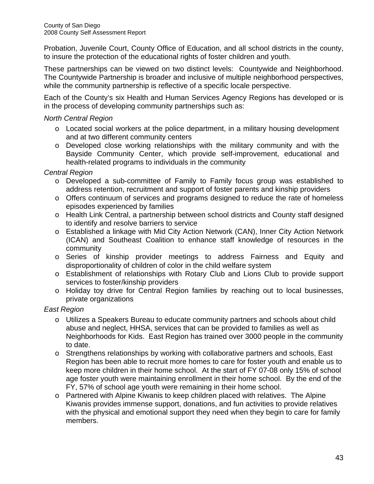Probation, Juvenile Court, County Office of Education, and all school districts in the county, to insure the protection of the educational rights of foster children and youth.

These partnerships can be viewed on two distinct levels: Countywide and Neighborhood. The Countywide Partnership is broader and inclusive of multiple neighborhood perspectives, while the community partnership is reflective of a specific locale perspective.

Each of the County's six Health and Human Services Agency Regions has developed or is in the process of developing community partnerships such as:

#### *North Central Region*

- o Located social workers at the police department, in a military housing development and at two different community centers
- o Developed close working relationships with the military community and with the Bayside Community Center, which provide self-improvement, educational and health-related programs to individuals in the community

#### *Central Region*

- o Developed a sub-committee of Family to Family focus group was established to address retention, recruitment and support of foster parents and kinship providers
- $\circ$  Offers continuum of services and programs designed to reduce the rate of homeless episodes experienced by families
- o Health Link Central, a partnership between school districts and County staff designed to identify and resolve barriers to service
- o Established a linkage with Mid City Action Network (CAN), Inner City Action Network (ICAN) and Southeast Coalition to enhance staff knowledge of resources in the community
- o Series of kinship provider meetings to address Fairness and Equity and disproportionality of children of color in the child welfare system
- o Establishment of relationships with Rotary Club and Lions Club to provide support services to foster/kinship providers
- o Holiday toy drive for Central Region families by reaching out to local businesses, private organizations

#### *East Region*

- o Utilizes a Speakers Bureau to educate community partners and schools about child abuse and neglect, HHSA, services that can be provided to families as well as Neighborhoods for Kids. East Region has trained over 3000 people in the community to date.
- $\circ$  Strengthens relationships by working with collaborative partners and schools, East Region has been able to recruit more homes to care for foster youth and enable us to keep more children in their home school. At the start of FY 07-08 only 15% of school age foster youth were maintaining enrollment in their home school. By the end of the FY, 57% of school age youth were remaining in their home school.
- o Partnered with Alpine Kiwanis to keep children placed with relatives. The Alpine Kiwanis provides immense support, donations, and fun activities to provide relatives with the physical and emotional support they need when they begin to care for family members.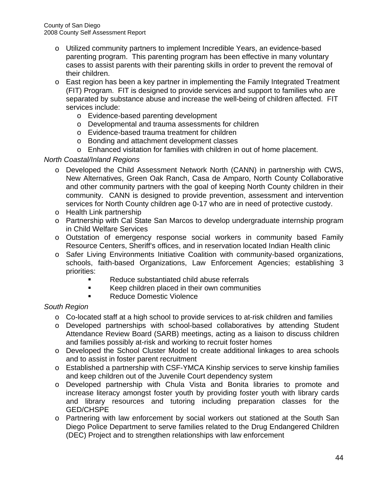- o Utilized community partners to implement Incredible Years, an evidence-based parenting program. This parenting program has been effective in many voluntary cases to assist parents with their parenting skills in order to prevent the removal of their children.
- o East region has been a key partner in implementing the Family Integrated Treatment (FIT) Program. FIT is designed to provide services and support to families who are separated by substance abuse and increase the well-being of children affected. FIT services include:
	- o Evidence-based parenting development
	- o Developmental and trauma assessments for children
	- o Evidence-based trauma treatment for children
	- o Bonding and attachment development classes
	- o Enhanced visitation for families with children in out of home placement.

#### *North Coastal/Inland Regions*

- o Developed the Child Assessment Network North (CANN) in partnership with CWS, New Alternatives, Green Oak Ranch, Casa de Amparo, North County Collaborative and other community partners with the goal of keeping North County children in their community. CANN is designed to provide prevention, assessment and intervention services for North County children age 0-17 who are in need of protective custody.
- o Health Link partnership
- o Partnership with Cal State San Marcos to develop undergraduate internship program in Child Welfare Services
- o Outstation of emergency response social workers in community based Family Resource Centers, Sheriff's offices, and in reservation located Indian Health clinic
- o Safer Living Environments Initiative Coalition with community-based organizations, schools, faith-based Organizations, Law Enforcement Agencies; establishing 3 priorities:
	- Reduce substantiated child abuse referrals
	- **Keep children placed in their own communities**
	- Reduce Domestic Violence

#### *South Region*

- o Co-located staff at a high school to provide services to at-risk children and families
- o Developed partnerships with school-based collaboratives by attending Student Attendance Review Board (SARB) meetings, acting as a liaison to discuss children and families possibly at-risk and working to recruit foster homes
- o Developed the School Cluster Model to create additional linkages to area schools and to assist in foster parent recruitment
- o Established a partnership with CSF-YMCA Kinship services to serve kinship families and keep children out of the Juvenile Court dependency system
- o Developed partnership with Chula Vista and Bonita libraries to promote and increase literacy amongst foster youth by providing foster youth with library cards and library resources and tutoring including preparation classes for the GED/CHSPE
- o Partnering with law enforcement by social workers out stationed at the South San Diego Police Department to serve families related to the Drug Endangered Children (DEC) Project and to strengthen relationships with law enforcement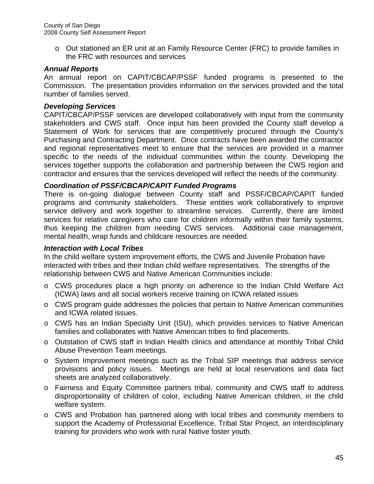o Out stationed an ER unit at an Family Resource Center (FRC) to provide families in the FRC with resources and services

#### *Annual Reports*

An annual report on CAPIT/CBCAP/PSSF funded programs is presented to the Commission. The presentation provides information on the services provided and the total number of families served.

#### *Developing Services*

CAPIT/CBCAP/PSSF services are developed collaboratively with input from the community stakeholders and CWS staff. Once input has been provided the County staff develop a Statement of Work for services that are competitively procured through the County's Purchasing and Contracting Department. Once contracts have been awarded the contractor and regional representatives meet to ensure that the services are provided in a manner specific to the needs of the individual communities within the county. Developing the services together supports the collaboration and partnership between the CWS region and contractor and ensures that the services developed will reflect the needs of the community.

#### *Coordination of PSSF/CBCAP/CAPIT Funded Programs*

There is on-going dialogue between County staff and PSSF/CBCAP/CAPIT funded programs and community stakeholders. These entities work collaboratively to improve service delivery and work together to streamline services. Currently, there are limited services for relative caregivers who care for children informally within their family systems, thus keeping the children from needing CWS services. Additional case management, mental health, wrap funds and childcare resources are needed.

#### *Interaction with Local Tribes*

In the child welfare system improvement efforts, the CWS and Juvenile Probation have interacted with tribes and their Indian child welfare representatives. The strengths of the relationship between CWS and Native American Communities include:

- o CWS procedures place a high priority on adherence to the Indian Child Welfare Act (ICWA) laws and all social workers receive training on ICWA related issues
- o CWS program guide addresses the policies that pertain to Native American communities and ICWA related issues.
- o CWS has an Indian Specialty Unit (ISU), which provides services to Native American families and collaborates with Native American tribes to find placements.
- o Outstation of CWS staff in Indian Health clinics and attendance at monthly Tribal Child Abuse Prevention Team meetings.
- o System Improvement meetings such as the Tribal SIP meetings that address service provisions and policy issues. Meetings are held at local reservations and data fact sheets are analyzed collaboratively.
- o Fairness and Equity Committee partners tribal, community and CWS staff to address disproportionality of children of color, including Native American children, in the child welfare system.
- o CWS and Probation has partnered along with local tribes and community members to support the Academy of Professional Excellence, Tribal Star Project, an interdisciplinary training for providers who work with rural Native foster youth.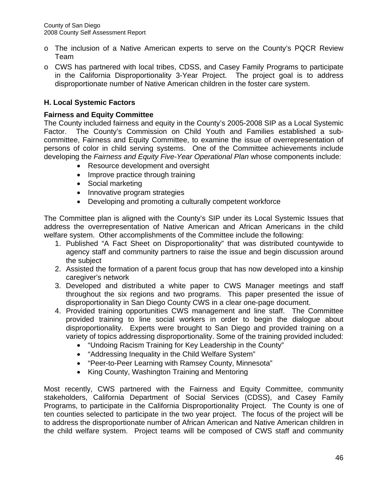- o The inclusion of a Native American experts to serve on the County's PQCR Review Team
- o CWS has partnered with local tribes, CDSS, and Casey Family Programs to participate in the California Disproportionality 3-Year Project. The project goal is to address disproportionate number of Native American children in the foster care system.

## **H. Local Systemic Factors**

#### **Fairness and Equity Committee**

The County included fairness and equity in the County's 2005-2008 SIP as a Local Systemic Factor. The County's Commission on Child Youth and Families established a subcommittee, Fairness and Equity Committee, to examine the issue of overrepresentation of persons of color in child serving systems. One of the Committee achievements include developing the *Fairness and Equity Five-Year Operational Plan* whose components include:

- Resource development and oversight
- Improve practice through training
- Social marketing
- Innovative program strategies
- Developing and promoting a culturally competent workforce

The Committee plan is aligned with the County's SIP under its Local Systemic Issues that address the overrepresentation of Native American and African Americans in the child welfare system. Other accomplishments of the Committee include the following:

- 1. Published "A Fact Sheet on Disproportionality" that was distributed countywide to agency staff and community partners to raise the issue and begin discussion around the subject
- 2. Assisted the formation of a parent focus group that has now developed into a kinship caregiver's network
- 3. Developed and distributed a white paper to CWS Manager meetings and staff throughout the six regions and two programs. This paper presented the issue of disproportionality in San Diego County CWS in a clear one-page document.
- 4. Provided training opportunities CWS management and line staff. The Committee provided training to line social workers in order to begin the dialogue about disproportionality. Experts were brought to San Diego and provided training on a variety of topics addressing disproportionality. Some of the training provided included:
	- "Undoing Racism Training for Key Leadership in the County"
	- "Addressing Inequality in the Child Welfare System"
	- "Peer-to-Peer Learning with Ramsey County, Minnesota"
	- King County, Washington Training and Mentoring

Most recently, CWS partnered with the Fairness and Equity Committee, community stakeholders, California Department of Social Services (CDSS), and Casey Family Programs, to participate in the California Disproportionality Project. The County is one of ten counties selected to participate in the two year project. The focus of the project will be to address the disproportionate number of African American and Native American children in the child welfare system. Project teams will be composed of CWS staff and community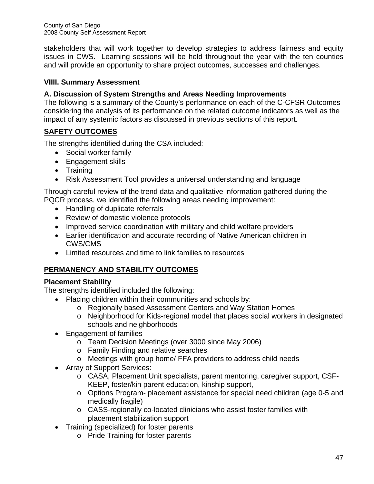County of San Diego 2008 County Self Assessment Report

stakeholders that will work together to develop strategies to address fairness and equity issues in CWS. Learning sessions will be held throughout the year with the ten counties and will provide an opportunity to share project outcomes, successes and challenges.

## **VIIII. Summary Assessment**

## **A. Discussion of System Strengths and Areas Needing Improvements**

The following is a summary of the County's performance on each of the C-CFSR Outcomes considering the analysis of its performance on the related outcome indicators as well as the impact of any systemic factors as discussed in previous sections of this report.

## **SAFETY OUTCOMES**

The strengths identified during the CSA included:

- Social worker family
- Engagement skills
- Training
- Risk Assessment Tool provides a universal understanding and language

Through careful review of the trend data and qualitative information gathered during the PQCR process, we identified the following areas needing improvement:

- Handling of duplicate referrals
- Review of domestic violence protocols
- Improved service coordination with military and child welfare providers
- Earlier identification and accurate recording of Native American children in CWS/CMS
- Limited resources and time to link families to resources

## **PERMANENCY AND STABILITY OUTCOMES**

#### **Placement Stability**

The strengths identified included the following:

- Placing children within their communities and schools by:
	- o Regionally based Assessment Centers and Way Station Homes
		- o Neighborhood for Kids-regional model that places social workers in designated schools and neighborhoods
- Engagement of families
	- o Team Decision Meetings (over 3000 since May 2006)
	- o Family Finding and relative searches
	- o Meetings with group home/ FFA providers to address child needs
- Array of Support Services:
	- o CASA, Placement Unit specialists, parent mentoring, caregiver support, CSF-KEEP, foster/kin parent education, kinship support,
	- o Options Program- placement assistance for special need children (age 0-5 and medically fragile)
	- o CASS-regionally co-located clinicians who assist foster families with placement stabilization support
- Training (specialized) for foster parents
	- o Pride Training for foster parents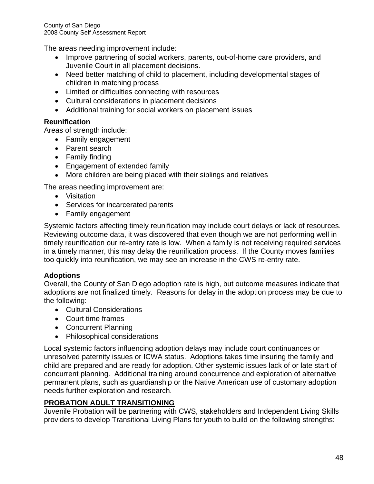The areas needing improvement include:

- Improve partnering of social workers, parents, out-of-home care providers, and Juvenile Court in all placement decisions.
- Need better matching of child to placement, including developmental stages of children in matching process
- Limited or difficulties connecting with resources
- Cultural considerations in placement decisions
- Additional training for social workers on placement issues

## **Reunification**

Areas of strength include:

- Family engagement
- Parent search
- Family finding
- Engagement of extended family
- More children are being placed with their siblings and relatives

The areas needing improvement are:

- Visitation
- Services for incarcerated parents
- Family engagement

Systemic factors affecting timely reunification may include court delays or lack of resources. Reviewing outcome data, it was discovered that even though we are not performing well in timely reunification our re-entry rate is low. When a family is not receiving required services in a timely manner, this may delay the reunification process. If the County moves families too quickly into reunification, we may see an increase in the CWS re-entry rate.

## **Adoptions**

Overall, the County of San Diego adoption rate is high, but outcome measures indicate that adoptions are not finalized timely. Reasons for delay in the adoption process may be due to the following:

- Cultural Considerations
- Court time frames
- Concurrent Planning
- Philosophical considerations

Local systemic factors influencing adoption delays may include court continuances or unresolved paternity issues or ICWA status. Adoptions takes time insuring the family and child are prepared and are ready for adoption. Other systemic issues lack of or late start of concurrent planning. Additional training around concurrence and exploration of alternative permanent plans, such as guardianship or the Native American use of customary adoption needs further exploration and research.

## **PROBATION ADULT TRANSITIONING**

Juvenile Probation will be partnering with CWS, stakeholders and Independent Living Skills providers to develop Transitional Living Plans for youth to build on the following strengths: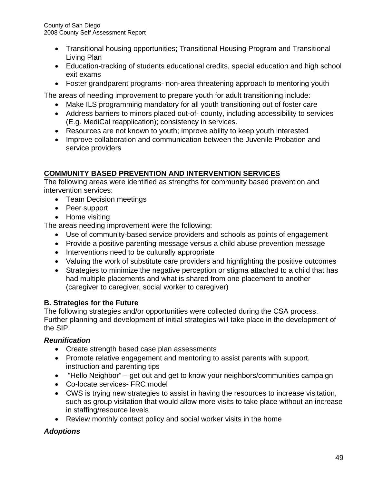- Transitional housing opportunities; Transitional Housing Program and Transitional Living Plan
- Education-tracking of students educational credits, special education and high school exit exams
- Foster grandparent programs- non-area threatening approach to mentoring youth

The areas of needing improvement to prepare youth for adult transitioning include:

- Make ILS programming mandatory for all youth transitioning out of foster care
- Address barriers to minors placed out-of- county, including accessibility to services (E.g. MediCal reapplication); consistency in services.
- Resources are not known to youth; improve ability to keep youth interested
- Improve collaboration and communication between the Juvenile Probation and service providers

## **COMMUNITY BASED PREVENTION AND INTERVENTION SERVICES**

The following areas were identified as strengths for community based prevention and intervention services:

- Team Decision meetings
- Peer support
- Home visiting

The areas needing improvement were the following:

- Use of community-based service providers and schools as points of engagement
- Provide a positive parenting message versus a child abuse prevention message
- Interventions need to be culturally appropriate
- Valuing the work of substitute care providers and highlighting the positive outcomes
- Strategies to minimize the negative perception or stigma attached to a child that has had multiple placements and what is shared from one placement to another (caregiver to caregiver, social worker to caregiver)

## **B. Strategies for the Future**

The following strategies and/or opportunities were collected during the CSA process. Further planning and development of initial strategies will take place in the development of the SIP.

## *Reunification*

- Create strength based case plan assessments
- Promote relative engagement and mentoring to assist parents with support, instruction and parenting tips
- "Hello Neighbor" get out and get to know your neighbors/communities campaign
- Co-locate services- FRC model
- CWS is trying new strategies to assist in having the resources to increase visitation, such as group visitation that would allow more visits to take place without an increase in staffing/resource levels
- Review monthly contact policy and social worker visits in the home

## *Adoptions*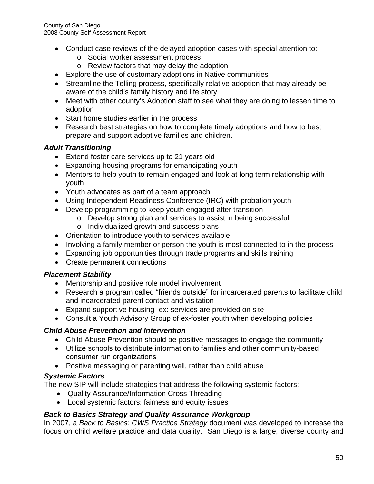- Conduct case reviews of the delayed adoption cases with special attention to:
	- o Social worker assessment process
	- o Review factors that may delay the adoption
- Explore the use of customary adoptions in Native communities
- Streamline the Telling process, specifically relative adoption that may already be aware of the child's family history and life story
- Meet with other county's Adoption staff to see what they are doing to lessen time to adoption
- Start home studies earlier in the process
- Research best strategies on how to complete timely adoptions and how to best prepare and support adoptive families and children.

#### *Adult Transitioning*

- Extend foster care services up to 21 years old
- Expanding housing programs for emancipating youth
- Mentors to help youth to remain engaged and look at long term relationship with youth
- Youth advocates as part of a team approach
- Using Independent Readiness Conference (IRC) with probation youth
- Develop programming to keep youth engaged after transition
	- o Develop strong plan and services to assist in being successful
	- o Individualized growth and success plans
- Orientation to introduce youth to services available
- Involving a family member or person the youth is most connected to in the process
- Expanding job opportunities through trade programs and skills training
- Create permanent connections

#### *Placement Stability*

- Mentorship and positive role model involvement
- Research a program called "friends outside" for incarcerated parents to facilitate child and incarcerated parent contact and visitation
- Expand supportive housing- ex: services are provided on site
- Consult a Youth Advisory Group of ex-foster youth when developing policies

#### *Child Abuse Prevention and Intervention*

- Child Abuse Prevention should be positive messages to engage the community
- Utilize schools to distribute information to families and other community-based consumer run organizations
- Positive messaging or parenting well, rather than child abuse

#### *Systemic Factors*

The new SIP will include strategies that address the following systemic factors:

- Quality Assurance/Information Cross Threading
- Local systemic factors: fairness and equity issues

#### *Back to Basics Strategy and Quality Assurance Workgroup*

In 2007, a *Back to Basics: CWS Practice Strategy* document was developed to increase the focus on child welfare practice and data quality. San Diego is a large, diverse county and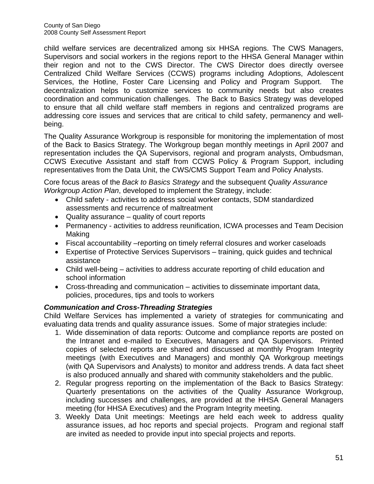child welfare services are decentralized among six HHSA regions. The CWS Managers, Supervisors and social workers in the regions report to the HHSA General Manager within their region and not to the CWS Director. The CWS Director does directly oversee Centralized Child Welfare Services (CCWS) programs including Adoptions, Adolescent Services, the Hotline, Foster Care Licensing and Policy and Program Support. The decentralization helps to customize services to community needs but also creates coordination and communication challenges. The Back to Basics Strategy was developed to ensure that all child welfare staff members in regions and centralized programs are addressing core issues and services that are critical to child safety, permanency and wellbeing.

The Quality Assurance Workgroup is responsible for monitoring the implementation of most of the Back to Basics Strategy. The Workgroup began monthly meetings in April 2007 and representation includes the QA Supervisors, regional and program analysts, Ombudsman, CCWS Executive Assistant and staff from CCWS Policy & Program Support, including representatives from the Data Unit, the CWS/CMS Support Team and Policy Analysts.

Core focus areas of the *Back to Basics Strategy* and the subsequent *Quality Assurance Workgroup Action Plan*, developed to implement the Strategy, include:

- Child safety activities to address social worker contacts, SDM standardized assessments and recurrence of maltreatment
- Quality assurance quality of court reports
- Permanency activities to address reunification, ICWA processes and Team Decision Making
- Fiscal accountability –reporting on timely referral closures and worker caseloads
- Expertise of Protective Services Supervisors training, quick guides and technical assistance
- Child well-being activities to address accurate reporting of child education and school information
- Cross-threading and communication activities to disseminate important data, policies, procedures, tips and tools to workers

#### *Communication and Cross-Threading Strategies*

Child Welfare Services has implemented a variety of strategies for communicating and evaluating data trends and quality assurance issues. Some of major strategies include:

- 1. Wide dissemination of data reports: Outcome and compliance reports are posted on the Intranet and e-mailed to Executives, Managers and QA Supervisors. Printed copies of selected reports are shared and discussed at monthly Program Integrity meetings (with Executives and Managers) and monthly QA Workgroup meetings (with QA Supervisors and Analysts) to monitor and address trends. A data fact sheet is also produced annually and shared with community stakeholders and the public.
- 2. Regular progress reporting on the implementation of the Back to Basics Strategy: Quarterly presentations on the activities of the Quality Assurance Workgroup, including successes and challenges, are provided at the HHSA General Managers meeting (for HHSA Executives) and the Program Integrity meeting.
- 3. Weekly Data Unit meetings: Meetings are held each week to address quality assurance issues, ad hoc reports and special projects. Program and regional staff are invited as needed to provide input into special projects and reports.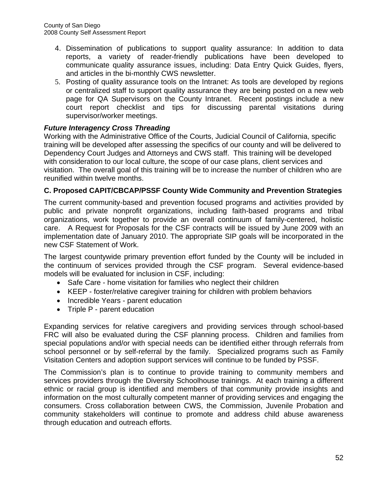- 4. Dissemination of publications to support quality assurance: In addition to data reports, a variety of reader-friendly publications have been developed to communicate quality assurance issues, including: Data Entry Quick Guides, flyers, and articles in the bi-monthly CWS newsletter.
- 5. Posting of quality assurance tools on the Intranet: As tools are developed by regions or centralized staff to support quality assurance they are being posted on a new web page for QA Supervisors on the County Intranet. Recent postings include a new court report checklist and tips for discussing parental visitations during supervisor/worker meetings.

## *Future Interagency Cross Threading*

Working with the Administrative Office of the Courts, Judicial Council of California, specific training will be developed after assessing the specifics of our county and will be delivered to Dependency Court Judges and Attorneys and CWS staff. This training will be developed with consideration to our local culture, the scope of our case plans, client services and visitation. The overall goal of this training will be to increase the number of children who are reunified within twelve months.

## **C. Proposed CAPIT/CBCAP/PSSF County Wide Community and Prevention Strategies**

The current community-based and prevention focused programs and activities provided by public and private nonprofit organizations, including faith-based programs and tribal organizations, work together to provide an overall continuum of family-centered, holistic care. A Request for Proposals for the CSF contracts will be issued by June 2009 with an implementation date of January 2010. The appropriate SIP goals will be incorporated in the new CSF Statement of Work.

The largest countywide primary prevention effort funded by the County will be included in the continuum of services provided through the CSF program. Several evidence-based models will be evaluated for inclusion in CSF, including:

- Safe Care home visitation for families who neglect their children
- KEEP foster/relative caregiver training for children with problem behaviors
- Incredible Years parent education
- Triple P parent education

Expanding services for relative caregivers and providing services through school-based FRC will also be evaluated during the CSF planning process. Children and families from special populations and/or with special needs can be identified either through referrals from school personnel or by self-referral by the family. Specialized programs such as Family Visitation Centers and adoption support services will continue to be funded by PSSF.

The Commission's plan is to continue to provide training to community members and services providers through the Diversity Schoolhouse trainings. At each training a different ethnic or racial group is identified and members of that community provide insights and information on the most culturally competent manner of providing services and engaging the consumers. Cross collaboration between CWS, the Commission, Juvenile Probation and community stakeholders will continue to promote and address child abuse awareness through education and outreach efforts.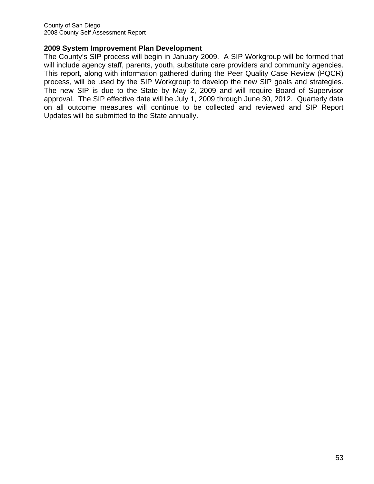#### **2009 System Improvement Plan Development**

The County's SIP process will begin in January 2009. A SIP Workgroup will be formed that will include agency staff, parents, youth, substitute care providers and community agencies. This report, along with information gathered during the Peer Quality Case Review (PQCR) process, will be used by the SIP Workgroup to develop the new SIP goals and strategies. The new SIP is due to the State by May 2, 2009 and will require Board of Supervisor approval. The SIP effective date will be July 1, 2009 through June 30, 2012. Quarterly data on all outcome measures will continue to be collected and reviewed and SIP Report Updates will be submitted to the State annually.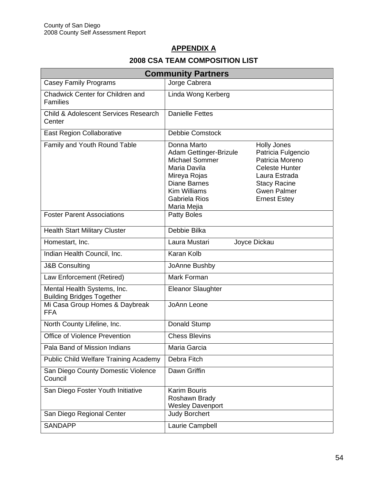## **APPENDIX A**

# **2008 CSA TEAM COMPOSITION LIST**

| <b>Community Partners</b>                                       |                                                                                                                                                                              |                                                                                                                                                                           |
|-----------------------------------------------------------------|------------------------------------------------------------------------------------------------------------------------------------------------------------------------------|---------------------------------------------------------------------------------------------------------------------------------------------------------------------------|
| <b>Casey Family Programs</b>                                    | Jorge Cabrera                                                                                                                                                                |                                                                                                                                                                           |
| <b>Chadwick Center for Children and</b><br><b>Families</b>      | Linda Wong Kerberg                                                                                                                                                           |                                                                                                                                                                           |
| Child & Adolescent Services Research<br>Center                  | <b>Danielle Fettes</b>                                                                                                                                                       |                                                                                                                                                                           |
| <b>East Region Collaborative</b>                                | <b>Debbie Comstock</b>                                                                                                                                                       |                                                                                                                                                                           |
| Family and Youth Round Table                                    | Donna Marto<br>Adam Gettinger-Brizule<br>Michael Sommer<br>Maria Davila<br>Mireya Rojas<br><b>Diane Barnes</b><br><b>Kim Williams</b><br><b>Gabriela Rios</b><br>Maria Mejia | <b>Holly Jones</b><br>Patricia Fulgencio<br>Patricia Moreno<br><b>Celeste Hunter</b><br>Laura Estrada<br><b>Stacy Racine</b><br><b>Gwen Palmer</b><br><b>Ernest Estey</b> |
| <b>Foster Parent Associations</b>                               | <b>Patty Boles</b>                                                                                                                                                           |                                                                                                                                                                           |
| <b>Health Start Military Cluster</b>                            | Debbie Bilka                                                                                                                                                                 |                                                                                                                                                                           |
| Homestart, Inc.                                                 | Laura Mustari                                                                                                                                                                | Joyce Dickau                                                                                                                                                              |
| Indian Health Council, Inc.                                     | <b>Karan Kolb</b>                                                                                                                                                            |                                                                                                                                                                           |
| <b>J&amp;B Consulting</b>                                       | JoAnne Bushby                                                                                                                                                                |                                                                                                                                                                           |
| Law Enforcement (Retired)                                       | Mark Forman                                                                                                                                                                  |                                                                                                                                                                           |
| Mental Health Systems, Inc.<br><b>Building Bridges Together</b> | <b>Eleanor Slaughter</b>                                                                                                                                                     |                                                                                                                                                                           |
| Mi Casa Group Homes & Daybreak<br><b>FFA</b>                    | JoAnn Leone                                                                                                                                                                  |                                                                                                                                                                           |
| North County Lifeline, Inc.                                     | Donald Stump                                                                                                                                                                 |                                                                                                                                                                           |
| Office of Violence Prevention                                   | <b>Chess Blevins</b>                                                                                                                                                         |                                                                                                                                                                           |
| Pala Band of Mission Indians                                    | Maria Garcia                                                                                                                                                                 |                                                                                                                                                                           |
| <b>Public Child Welfare Training Academy</b>                    | Debra Fitch                                                                                                                                                                  |                                                                                                                                                                           |
| San Diego County Domestic Violence<br>Council                   | Dawn Griffin                                                                                                                                                                 |                                                                                                                                                                           |
| San Diego Foster Youth Initiative                               | <b>Karim Bouris</b><br>Roshawn Brady<br><b>Wesley Davenport</b>                                                                                                              |                                                                                                                                                                           |
| San Diego Regional Center                                       | <b>Judy Borchert</b>                                                                                                                                                         |                                                                                                                                                                           |
| <b>SANDAPP</b>                                                  | Laurie Campbell                                                                                                                                                              |                                                                                                                                                                           |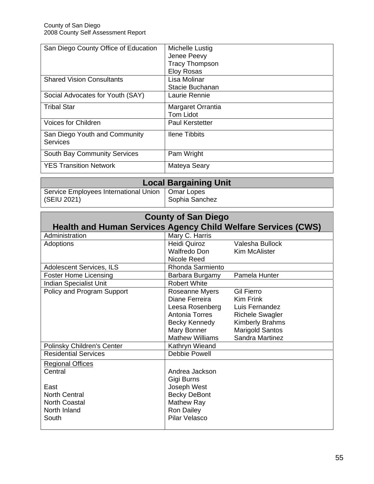| San Diego County Office of Education             | Michelle Lustig        |
|--------------------------------------------------|------------------------|
|                                                  | Jenee Peevy            |
|                                                  | <b>Tracy Thompson</b>  |
|                                                  | <b>Eloy Rosas</b>      |
| <b>Shared Vision Consultants</b>                 | Lisa Molinar           |
|                                                  | Stacie Buchanan        |
| Social Advocates for Youth (SAY)                 | Laurie Rennie          |
| <b>Tribal Star</b>                               | Margaret Orrantia      |
|                                                  | <b>Tom Lidot</b>       |
| <b>Voices for Children</b>                       | <b>Paul Kerstetter</b> |
| San Diego Youth and Community<br><b>Services</b> | <b>Ilene Tibbits</b>   |
|                                                  |                        |
| South Bay Community Services                     | Pam Wright             |
| <b>YES Transition Network</b>                    | Mateya Seary           |

| <b>Local Bargaining Unit</b>                                      |                |
|-------------------------------------------------------------------|----------------|
| Service Employees International Union   Omar Lopes<br>(SEIU 2021) | Sophia Sanchez |

| <b>County of San Diego</b>                                           |                        |                        |
|----------------------------------------------------------------------|------------------------|------------------------|
| <b>Health and Human Services Agency Child Welfare Services (CWS)</b> |                        |                        |
| Administration                                                       | Mary C. Harris         |                        |
| <b>Adoptions</b>                                                     | Heidi Quiroz           | Valesha Bullock        |
|                                                                      | Walfredo Don           | <b>Kim McAlister</b>   |
|                                                                      | Nicole Reed            |                        |
| Adolescent Services, ILS                                             | Rhonda Sarmiento       |                        |
| <b>Foster Home Licensing</b>                                         | Barbara Burgamy        | Pamela Hunter          |
| <b>Indian Specialist Unit</b>                                        | <b>Robert White</b>    |                        |
| Policy and Program Support                                           | Roseanne Myers         | <b>Gil Fierro</b>      |
|                                                                      | Diane Ferreira         | <b>Kim Frink</b>       |
|                                                                      | Leesa Rosenberg        | Luis Fernandez         |
|                                                                      | <b>Antonia Torres</b>  | <b>Richele Swagler</b> |
|                                                                      | Becky Kennedy          | <b>Kimberly Brahms</b> |
|                                                                      | Mary Bonner            | Marigold Santos        |
|                                                                      | <b>Mathew Williams</b> | Sandra Martinez        |
| Polinsky Children's Center                                           | Kathryn Wieand         |                        |
| <b>Residential Services</b>                                          | <b>Debbie Powell</b>   |                        |
| <b>Regional Offices</b>                                              |                        |                        |
| Central                                                              | Andrea Jackson         |                        |
|                                                                      | Gigi Burns             |                        |
| East                                                                 | Joseph West            |                        |
| <b>North Central</b>                                                 | <b>Becky DeBont</b>    |                        |
| <b>North Coastal</b>                                                 | Mathew Ray             |                        |
| North Inland                                                         | <b>Ron Dailey</b>      |                        |
| South                                                                | Pilar Velasco          |                        |
|                                                                      |                        |                        |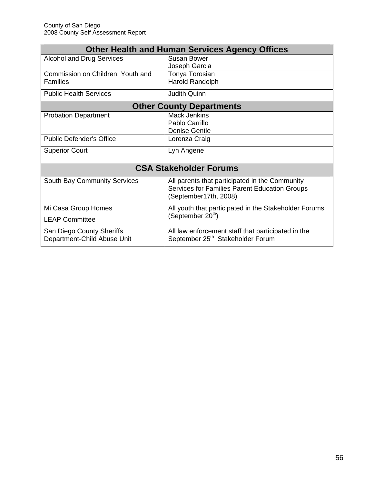| <b>Other Health and Human Services Agency Offices</b>    |                                                                                                                          |  |  |
|----------------------------------------------------------|--------------------------------------------------------------------------------------------------------------------------|--|--|
| <b>Alcohol and Drug Services</b>                         | Susan Bower<br>Joseph Garcia                                                                                             |  |  |
| Commission on Children, Youth and<br>Families            | Tonya Torosian<br>Harold Randolph                                                                                        |  |  |
| <b>Public Health Services</b>                            | <b>Judith Quinn</b>                                                                                                      |  |  |
|                                                          | <b>Other County Departments</b>                                                                                          |  |  |
| <b>Probation Department</b>                              | <b>Mack Jenkins</b><br>Pablo Carrillo<br><b>Denise Gentle</b>                                                            |  |  |
| <b>Public Defender's Office</b>                          | Lorenza Craig                                                                                                            |  |  |
| <b>Superior Court</b>                                    | Lyn Angene                                                                                                               |  |  |
|                                                          | <b>CSA Stakeholder Forums</b>                                                                                            |  |  |
| <b>South Bay Community Services</b>                      | All parents that participated in the Community<br>Services for Families Parent Education Groups<br>(September17th, 2008) |  |  |
| Mi Casa Group Homes<br><b>LEAP Committee</b>             | All youth that participated in the Stakeholder Forums<br>(September 20 <sup>th</sup> )                                   |  |  |
| San Diego County Sheriffs<br>Department-Child Abuse Unit | All law enforcement staff that participated in the<br>September 25 <sup>th</sup> Stakeholder Forum                       |  |  |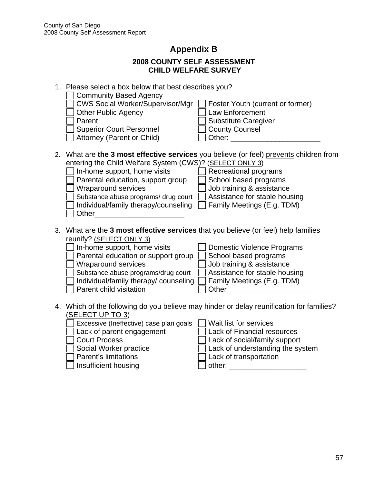# **Appendix B**

## **2008 COUNTY SELF ASSESSMENT CHILD WELFARE SURVEY**

|    | 1. Please select a box below that best describes you?<br><b>Community Based Agency</b><br><b>CWS Social Worker/Supervisor/Mgr</b><br><b>Other Public Agency</b><br>Parent<br><b>Superior Court Personnel</b><br>Attorney (Parent or Child)                                                                           | Foster Youth (current or former)<br><b>Law Enforcement</b><br><b>Substitute Caregiver</b><br><b>County Counsel</b><br>Other:                                                                                                                                      |
|----|----------------------------------------------------------------------------------------------------------------------------------------------------------------------------------------------------------------------------------------------------------------------------------------------------------------------|-------------------------------------------------------------------------------------------------------------------------------------------------------------------------------------------------------------------------------------------------------------------|
|    | entering the Child Welfare System (CWS)? (SELECT ONLY 3)<br>In-home support, home visits<br>Parental education, support group<br>Wraparound services<br>Substance abuse programs/ drug court<br>Individual/family therapy/counseling<br>Other                                                                        | 2. What are the 3 most effective services you believe (or feel) prevents children from<br>Recreational programs<br>School based programs<br>Job training & assistance<br>Assistance for stable housing<br>Family Meetings (E.g. TDM)                              |
| 3. | What are the 3 most effective services that you believe (or feel) help families<br>reunify? (SELECT ONLY 3)<br>In-home support, home visits<br>Parental education or support group<br>Wraparound services<br>Substance abuse programs/drug court<br>Individual/family therapy/ counseling<br>Parent child visitation | Domestic Violence Programs<br>School based programs<br>Job training & assistance<br>Assistance for stable housing<br>Family Meetings (E.g. TDM)<br>Other                                                                                                          |
|    | (SELECT UP TO 3)<br>Excessive (Ineffective) case plan goals<br>Lack of parent engagement<br><b>Court Process</b><br>Social Worker practice<br>Parent's limitations<br>Insufficient housing                                                                                                                           | 4. Which of the following do you believe may hinder or delay reunification for families?<br>Wait list for services<br><b>Lack of Financial resources</b><br>Lack of social/family support<br>Lack of understanding the system<br>Lack of transportation<br>other: |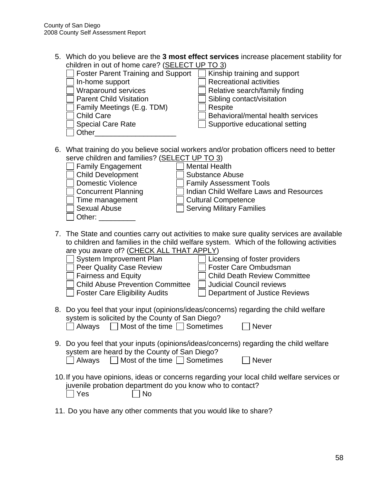| 5. Which do you believe are the 3 most effect services increase placement stability for<br>children in out of home care? (SELECT UP TO 3)<br><b>Foster Parent Training and Support</b><br>Kinship training and support<br>In-home support<br><b>Recreational activities</b><br>Wraparound services<br>Relative search/family finding<br><b>Parent Child Visitation</b><br>Sibling contact/visitation<br>Family Meetings (E.g. TDM)<br>Respite<br>Behavioral/mental health services<br><b>Child Care</b><br><b>Special Care Rate</b><br>Supportive educational setting<br>Other  |
|---------------------------------------------------------------------------------------------------------------------------------------------------------------------------------------------------------------------------------------------------------------------------------------------------------------------------------------------------------------------------------------------------------------------------------------------------------------------------------------------------------------------------------------------------------------------------------|
| 6. What training do you believe social workers and/or probation officers need to better<br>serve children and families? (SELECT UP TO 3)<br><b>Family Engagement</b><br><b>Mental Health</b><br><b>Child Development</b><br><b>Substance Abuse</b><br><b>Domestic Violence</b><br><b>Family Assessment Tools</b><br>Indian Child Welfare Laws and Resources<br><b>Concurrent Planning</b><br><b>Cultural Competence</b><br>Time management<br><b>Sexual Abuse</b><br><b>Serving Military Families</b><br>Other: _______                                                         |
| 7. The State and counties carry out activities to make sure quality services are available<br>to children and families in the child welfare system. Which of the following activities<br>are you aware of? (CHECK ALL THAT APPLY)<br>System Improvement Plan<br>Licensing of foster providers<br>Peer Quality Case Review<br>Foster Care Ombudsman<br><b>Fairness and Equity</b><br><b>Child Death Review Committee</b><br><b>Child Abuse Prevention Committee</b><br><b>Judicial Council reviews</b><br><b>Foster Care Eligibility Audits</b><br>Department of Justice Reviews |
| 8. Do you feel that your input (opinions/ideas/concerns) regarding the child welfare<br>system is solicited by the County of San Diego?<br>Always $\Box$ Most of the time $\Box$ Sometimes<br><b>Never</b>                                                                                                                                                                                                                                                                                                                                                                      |
| 9. Do you feel that your inputs (opinions/ideas/concerns) regarding the child welfare<br>system are heard by the County of San Diego?<br>$\Box$ Most of the time $\Box$ Sometimes<br>Always<br><b>Never</b>                                                                                                                                                                                                                                                                                                                                                                     |
| 10. If you have opinions, ideas or concerns regarding your local child welfare services or<br>juvenile probation department do you know who to contact?<br><b>No</b><br>Yes                                                                                                                                                                                                                                                                                                                                                                                                     |

11. Do you have any other comments that you would like to share?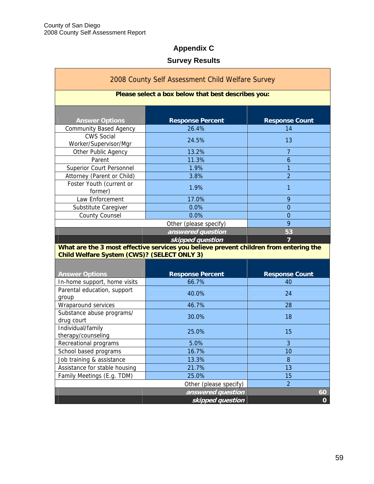# **Appendix C**

# **Survey Results**

| 2008 County Self Assessment Child Welfare Survey       |                                                                                       |                                |
|--------------------------------------------------------|---------------------------------------------------------------------------------------|--------------------------------|
| Please select a box below that best describes you:     |                                                                                       |                                |
|                                                        |                                                                                       |                                |
| <b>Answer Options</b>                                  | <b>Response Percent</b>                                                               | <b>Response Count</b>          |
| <b>Community Based Agency</b><br><b>CWS Social</b>     | 26.4%<br>24.5%                                                                        | 14<br>13                       |
| Worker/Supervisor/Mgr                                  |                                                                                       |                                |
| Other Public Agency                                    | 13.2%                                                                                 | 7                              |
| Parent                                                 | 11.3%                                                                                 | 6                              |
| <b>Superior Court Personnel</b>                        | 1.9%                                                                                  | 1                              |
| Attorney (Parent or Child)<br>Foster Youth (current or | 3.8%<br>1.9%                                                                          | $\overline{2}$<br>$\mathbf{1}$ |
| former)                                                |                                                                                       |                                |
| Law Enforcement                                        | 17.0%                                                                                 | 9                              |
| Substitute Caregiver                                   | 0.0%                                                                                  | $\overline{0}$                 |
| <b>County Counsel</b>                                  | 0.0%                                                                                  | $\overline{0}$                 |
|                                                        | Other (please specify)                                                                | 9                              |
|                                                        | answered question                                                                     | 53                             |
|                                                        | skipped question                                                                      | 7                              |
| Child Welfare System (CWS)? (SELECT ONLY 3)            | What are the 3 most effective services you believe prevent children from entering the |                                |
|                                                        |                                                                                       |                                |
| <b>Answer Options</b>                                  | <b>Response Percent</b>                                                               | <b>Response Count</b>          |
| In-home support, home visits                           | 66.7%                                                                                 | 40                             |
| Parental education, support<br>group                   | 40.0%                                                                                 | 24                             |
| Wraparound services                                    | 46.7%                                                                                 | 28                             |
| Substance abuse programs/<br>drug court                | 30.0%                                                                                 | 18                             |
| Individual/family<br>therapy/counseling                | 25.0%                                                                                 | 15                             |
| Recreational programs                                  | 5.0%                                                                                  | 3                              |
| School based programs                                  | 16.7%                                                                                 | 10                             |
| Job training & assistance                              | 13.3%                                                                                 | 8                              |
| Assistance for stable housing                          | 21.7%                                                                                 | 13                             |
| Family Meetings (E.g. TDM)                             | 25.0%                                                                                 | 15                             |
|                                                        | Other (please specify)                                                                | $\overline{2}$                 |
| 60<br>answered question                                |                                                                                       |                                |
|                                                        | skipped question                                                                      | $\mathbf{O}$                   |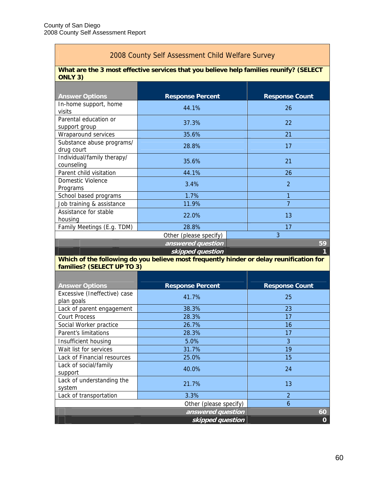#### 2008 County Self Assessment Child Welfare Survey

#### **What are the 3 most effective services that you believe help families reunify? (SELECT ONLY 3)**

| <b>Answer Options</b>                    | <b>Response Percent</b> | <b>Response Count</b> |
|------------------------------------------|-------------------------|-----------------------|
| In-home support, home<br>visits          | 44.1%                   | 26                    |
| Parental education or<br>support group   | 37.3%                   | 22                    |
| Wraparound services                      | 35.6%                   | 21                    |
| Substance abuse programs/<br>drug court  | 28.8%                   | 17                    |
| Individual/family therapy/<br>counseling | 35.6%                   | 21                    |
| Parent child visitation                  | 44.1%                   | 26                    |
| Domestic Violence<br>Programs            | 3.4%                    | $\overline{2}$        |
| School based programs                    | 1.7%                    |                       |
| Job training & assistance                | 11.9%                   | 7                     |
| Assistance for stable<br>housing         | 22.0%                   | 13                    |
| Family Meetings (E.g. TDM)               | 28.8%                   | 17                    |
| Other (please specify)                   |                         | 3                     |
|                                          | answered question       | 59                    |
|                                          | skipped question        |                       |

#### **Which of the following do you believe most frequently hinder or delay reunification for families? (SELECT UP TO 3)**

| <b>Answer Options</b>                      | <b>Response Percent</b> | <b>Response Count</b> |
|--------------------------------------------|-------------------------|-----------------------|
| Excessive (Ineffective) case<br>plan goals | 41.7%                   | 25                    |
| Lack of parent engagement                  | 38.3%                   | 23                    |
| <b>Court Process</b>                       | 28.3%                   | 17                    |
| Social Worker practice                     | 26.7%                   | 16                    |
| Parent's limitations                       | 28.3%                   | 17                    |
| Insufficient housing                       | 5.0%                    | 3                     |
| Wait list for services                     | 31.7%                   | 19                    |
| Lack of Financial resources                | 25.0%                   | 15                    |
| Lack of social/family<br>support           | 40.0%                   | 24                    |
| Lack of understanding the<br>system        | 21.7%                   | 13                    |
| Lack of transportation                     | 3.3%                    | $\mathcal{P}$         |
|                                            | Other (please specify)  | 6                     |
|                                            | answered question       | 60                    |
|                                            | skipped question        | $\mathbf 0$           |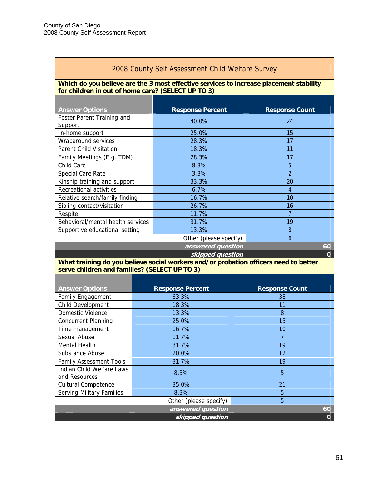## 2008 County Self Assessment Child Welfare Survey

#### **Which do you believe are the 3 most effective services to increase placement stability for children in out of home care? (SELECT UP TO 3)**

| <b>Answer Options</b>                 | <b>Response Percent</b> | <b>Response Count</b> |
|---------------------------------------|-------------------------|-----------------------|
| Foster Parent Training and<br>Support | 40.0%                   | 24                    |
| In-home support                       | 25.0%                   | 15                    |
| Wraparound services                   | 28.3%                   | 17                    |
| <b>Parent Child Visitation</b>        | 18.3%                   | 11                    |
| Family Meetings (E.g. TDM)            | 28.3%                   | 17                    |
| Child Care                            | 8.3%                    | 5                     |
| Special Care Rate                     | 3.3%                    | $\overline{2}$        |
| Kinship training and support          | 33.3%                   | 20                    |
| Recreational activities               | 6.7%                    | 4                     |
| Relative search/family finding        | 16.7%                   | 10 <sup>°</sup>       |
| Sibling contact/visitation            | 26.7%                   | 16                    |
| Respite                               | 11.7%                   | 7                     |
| Behavioral/mental health services     | 31.7%                   | 19                    |
| Supportive educational setting        | 13.3%                   | 8                     |
|                                       | Other (please specify)  | 6                     |
|                                       | answered question       | 60                    |
|                                       | skipped question        | O                     |

#### **What training do you believe social workers and/or probation officers need to better serve children and families? (SELECT UP TO 3)**

| <b>Answer Options</b>                      | <b>Response Percent</b> | <b>Response Count</b> |
|--------------------------------------------|-------------------------|-----------------------|
| <b>Family Engagement</b>                   | 63.3%                   | 38                    |
| Child Development                          | 18.3%                   | 11                    |
| Domestic Violence                          | 13.3%                   | 8                     |
| <b>Concurrent Planning</b>                 | 25.0%                   | 15                    |
| Time management                            | 16.7%                   | 10                    |
| Sexual Abuse                               | 11.7%                   | 7                     |
| Mental Health                              | 31.7%                   | 19                    |
| Substance Abuse                            | 20.0%                   | 12                    |
| <b>Family Assessment Tools</b>             | 31.7%                   | 19                    |
| Indian Child Welfare Laws<br>and Resources | 8.3%                    | 5                     |
| <b>Cultural Competence</b>                 | 35.0%                   | 21                    |
| <b>Serving Military Families</b>           | 8.3%                    | 5                     |
|                                            | Other (please specify)  | 5                     |
|                                            | answered question       | 60                    |
|                                            | skipped question        | O                     |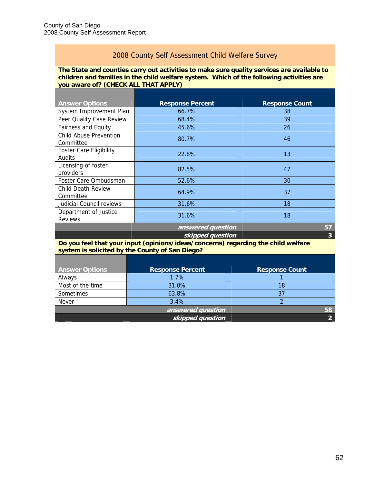## 2008 County Self Assessment Child Welfare Survey

#### **The State and counties carry out activities to make sure quality services are available to children and families in the child welfare system. Which of the following activities are you aware of? (CHECK ALL THAT APPLY)**

|                                                                                                                                      | <b>Response Count</b>   |  |  |  |
|--------------------------------------------------------------------------------------------------------------------------------------|-------------------------|--|--|--|
| 66.7%                                                                                                                                | 38                      |  |  |  |
| 68.4%                                                                                                                                | 39                      |  |  |  |
| 45.6%                                                                                                                                | 26                      |  |  |  |
| 80.7%                                                                                                                                | 46                      |  |  |  |
| 22.8%                                                                                                                                | 13                      |  |  |  |
| 82.5%                                                                                                                                | 47                      |  |  |  |
| 52.6%                                                                                                                                | 30                      |  |  |  |
| 64.9%                                                                                                                                | 37                      |  |  |  |
| 31.6%                                                                                                                                | 18                      |  |  |  |
| 31.6%                                                                                                                                | 18                      |  |  |  |
| answered question                                                                                                                    | 57                      |  |  |  |
| skipped question                                                                                                                     | 3                       |  |  |  |
| Do you feel that your input (opinions/ideas/concerns) regarding the child welfare<br>system is solicited by the County of San Diego? |                         |  |  |  |
|                                                                                                                                      | <b>Response Percent</b> |  |  |  |

| <b>Answer Options</b> | <b>Response Percent</b> | <b>Response Count</b> |
|-----------------------|-------------------------|-----------------------|
| Always                | 1.7%                    |                       |
| Most of the time      | 31.0%                   | 18                    |
| Sometimes             | 63.8%                   | 37                    |
| <b>Never</b>          | 3.4%                    |                       |
|                       | answered question       | 58                    |
|                       | skipped question        |                       |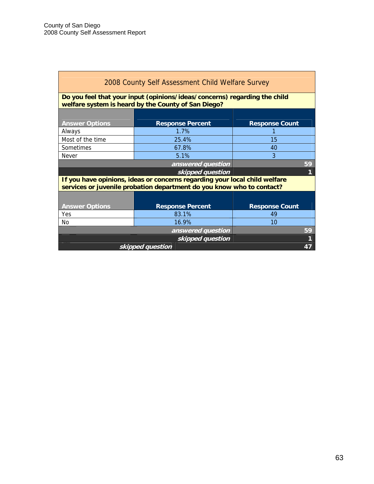| 2008 County Self Assessment Child Welfare Survey                                                                                                    |                         |                       |  |  |
|-----------------------------------------------------------------------------------------------------------------------------------------------------|-------------------------|-----------------------|--|--|
| Do you feel that your input (opinions/ideas/concerns) regarding the child<br>welfare system is heard by the County of San Diego?                    |                         |                       |  |  |
| <b>Answer Options</b>                                                                                                                               | <b>Response Percent</b> | <b>Response Count</b> |  |  |
| Always                                                                                                                                              | 1.7%                    |                       |  |  |
| Most of the time                                                                                                                                    | 25.4%                   | 15                    |  |  |
| Sometimes                                                                                                                                           | 67.8%                   | 40                    |  |  |
| <b>Never</b>                                                                                                                                        | 5.1%                    | 3                     |  |  |
|                                                                                                                                                     | answered question       | 59                    |  |  |
|                                                                                                                                                     | skipped question        |                       |  |  |
| If you have opinions, ideas or concerns regarding your local child welfare<br>services or juvenile probation department do you know who to contact? |                         |                       |  |  |
|                                                                                                                                                     |                         |                       |  |  |
| <b>Answer Options</b>                                                                                                                               | <b>Response Percent</b> | <b>Response Count</b> |  |  |
| Yes                                                                                                                                                 | 83.1%                   | 49                    |  |  |
| No                                                                                                                                                  | 16.9%                   | 10                    |  |  |
| 59<br>answered question                                                                                                                             |                         |                       |  |  |
|                                                                                                                                                     | skipped question        |                       |  |  |
| skipped question                                                                                                                                    |                         |                       |  |  |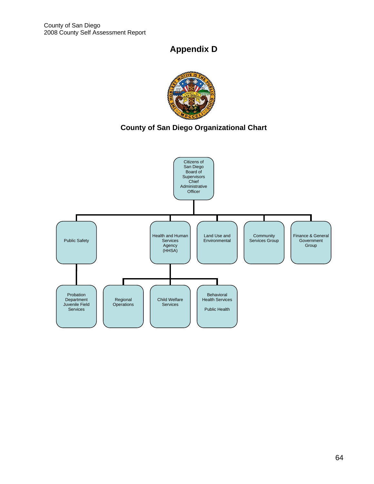# **Appendix D**



## **County of San Diego Organizational Chart**

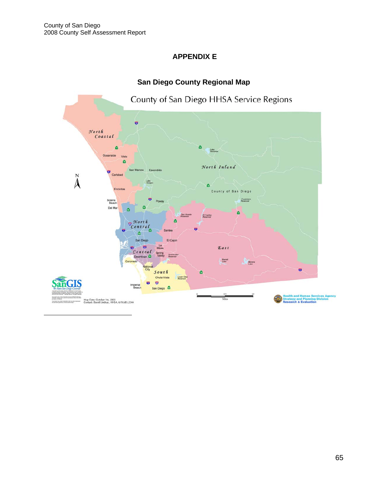## **APPENDIX E**

## **San Diego County Regional Map**

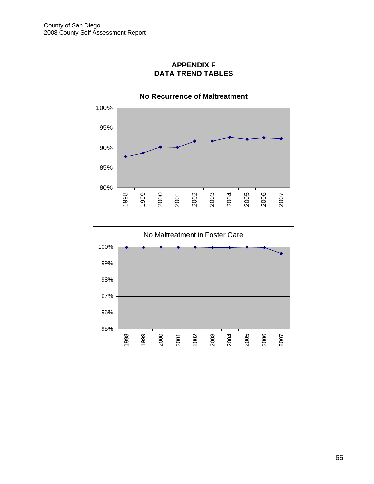1



#### **APPENDIX F DATA TREND TABLES**

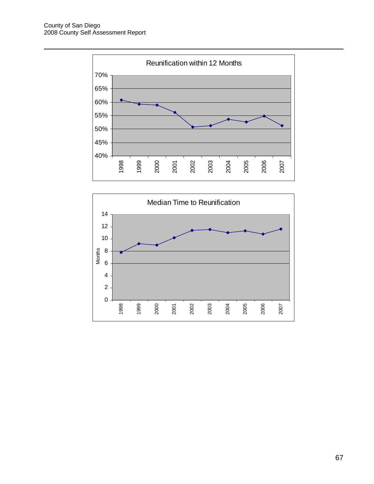

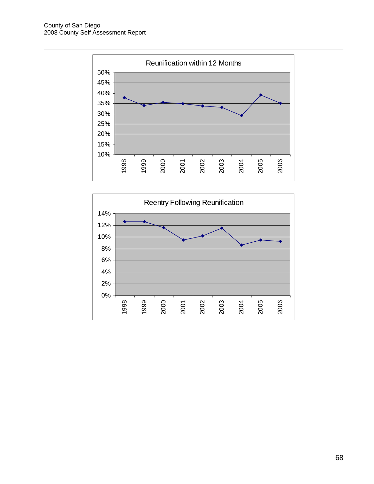

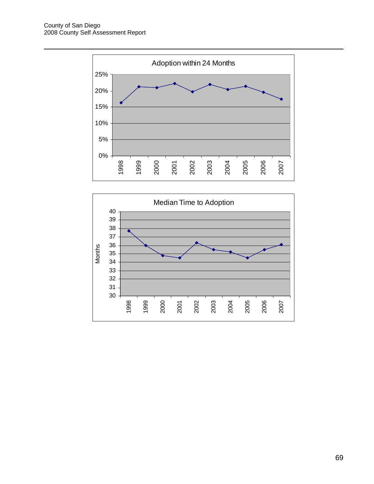

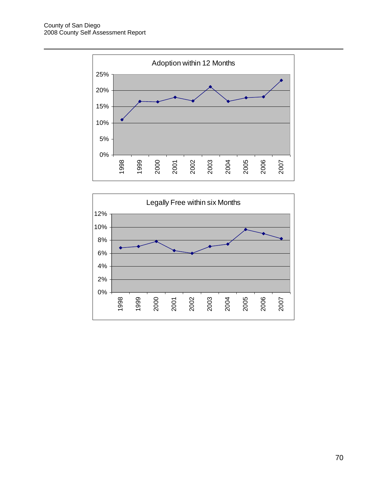

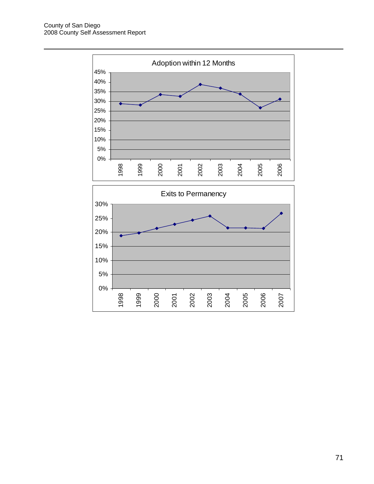0%

1998

1999

2000

2001

2002

2003

2004

2005

2006

2007

5%

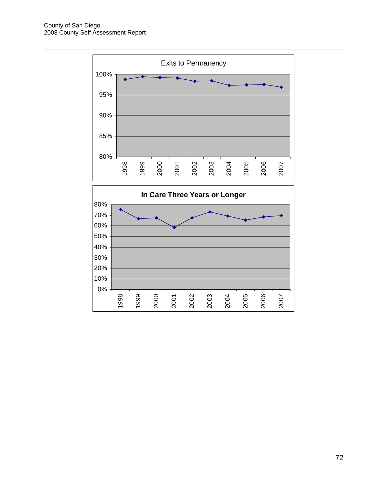

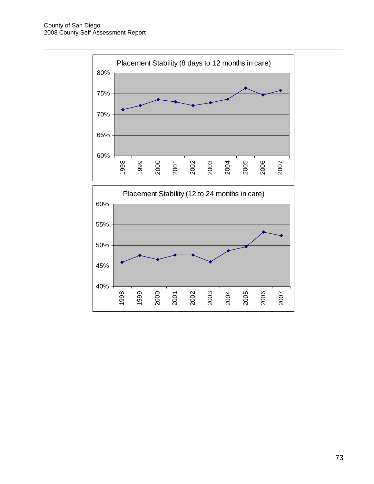40%

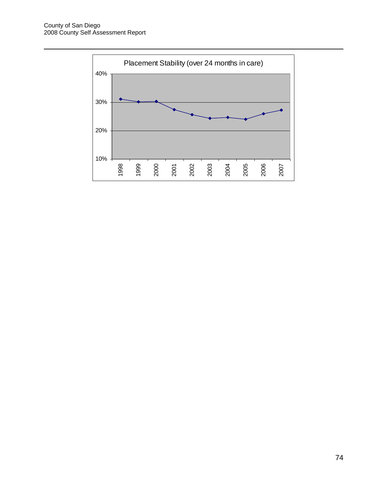